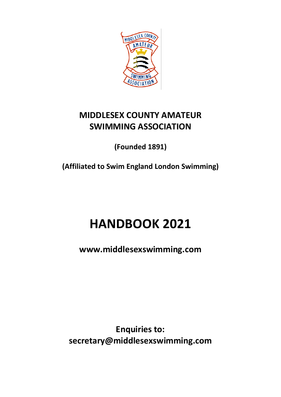

# **MIDDLESEX COUNTY AMATEUR SWIMMING ASSOCIATION**

**(Founded 1891)**

**(Affiliated to Swim England London Swimming)**

# **HANDBOOK 2021**

**www.middlesexswimming.com**

**Enquiries to: secretary@middlesexswimming.com**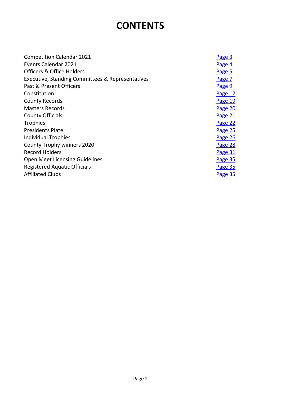# **CONTENTS**

| <b>Competition Calendar 2021</b>                 | Page 3  |
|--------------------------------------------------|---------|
| Events Calendar 2021                             | Page 4  |
| Officers & Office Holders                        | Page 5  |
| Executive, Standing Committees & Representatives | Page 7  |
| Past & Present Officers                          | Page 9  |
| Constitution                                     | Page 12 |
| <b>County Records</b>                            | Page 19 |
| <b>Masters Records</b>                           | Page 20 |
| <b>County Officials</b>                          | Page 21 |
| <b>Trophies</b>                                  | Page 22 |
| <b>Presidents Plate</b>                          | Page 25 |
| <b>Individual Trophies</b>                       | Page 26 |
| County Trophy winners 2020                       | Page 28 |
| <b>Record Holders</b>                            | Page 31 |
| Open Meet Licensing Guidelines                   | Page 35 |
| <b>Registered Aquatic Officials</b>              | Page 35 |
| <b>Affiliated Clubs</b>                          | Page 35 |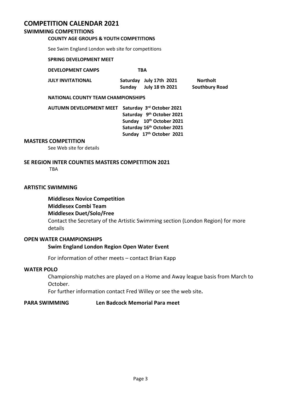### <span id="page-2-0"></span>**COMPETITION CALENDAR 2021**

#### **SWIMMING COMPETITIONS**

#### **COUNTY AGE GROUPS & YOUTH COMPETITIONS**

See Swim England London web site for competitions

#### **SPRING DEVELOPMENT MEET**

#### **DEVELOPMENT CAMPS TBA**

| JULY INVITATIONAL |        | Saturday July 17th 2021 | Northolt              |
|-------------------|--------|-------------------------|-----------------------|
|                   | Sundav | July 18 th 2021         | <b>Southbury Road</b> |

#### **NATIONAL COUNTY TEAM CHAMPIONSHIPS**

| <b>AUTUMN DEVELOPMENT MEET</b> | Saturday 3rd October 2021  |
|--------------------------------|----------------------------|
|                                | Saturday 9th October 2021  |
|                                | Sunday 10th October 2021   |
|                                | Saturday 16th October 2021 |
|                                | Sunday 17th October 2021   |

#### **MASTERS COMPETITION**

See Web site for details

#### **SE REGION INTER COUNTIES MASTERS COMPETITION 2021**

TBA

#### **ARTISTIC SWIMMING**

**Middlesex Novice Competition Middlesex Combi Team Middlesex Duet/Solo/Free** Contact the Secretary of the Artistic Swimming section (London Region) for more details

#### **OPEN WATER CHAMPIONSHIPS**

#### **Swim England London Region Open Water Event**

For information of other meets – contact Brian Kapp

#### **WATER POLO**

Championship matches are played on a Home and Away league basis from March to October.

For further information contact Fred Willey or see the web site**.**

#### **PARA SWIMMING Len Badcock Memorial Para meet**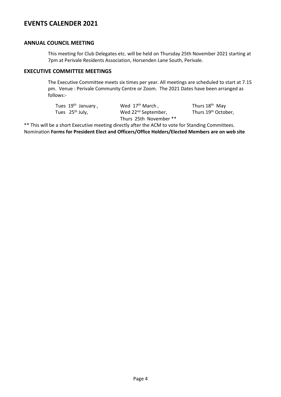### <span id="page-3-0"></span>**EVENTS CALENDER 2021**

#### **ANNUAL COUNCIL MEETING**

This meeting for Club Delegates etc. will be held on Thursday 25th November 2021 starting at 7pm at Perivale Residents Association, Horsenden Lane South, Perivale.

#### **EXECUTIVE COMMITTEE MEETINGS**

The Executive Committee meets six times per year. All meetings are scheduled to start at 7.15 pm. Venue : Perivale Community Centre or Zoom. The 2021 Dates have been arranged as follows:-

| Tues $19th$ January,        | Wed $17th$ March.               | Thurs 18 <sup>th</sup> May      |
|-----------------------------|---------------------------------|---------------------------------|
| Tues 25 <sup>th</sup> July, | Wed 22 <sup>nd</sup> September, | Thurs 19 <sup>th</sup> October. |
|                             | Thurs 25th November **          |                                 |

\*\* This will be a short Executive meeting directly after the ACM to vote for Standing Committees. Nomination **Forms for President Elect and Officers/Office Holders/Elected Members are on web site**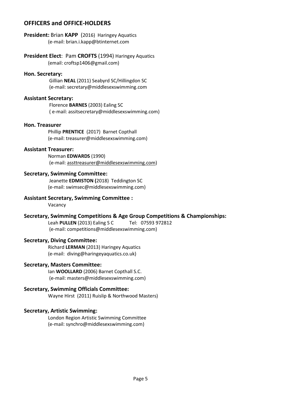#### <span id="page-4-0"></span>**OFFICERS and OFFICE-HOLDERS**

**President:** Brian **KAPP** (2016) Haringey Aquatics (e-mail: brian.i.kapp@btinternet.com

**President Elect**: Pam **CROFTS** (1994) Haringey Aquatics (email: croftsp1406@gmail.com)

#### **Hon. Secretary:**

Gillian **NEAL** (2011) Seabyrd SC/Hillingdon SC (e-mail: secretary@middlesexswimming.com

#### **Assistant Secretary:**

Florence **BARNES** (2003) Ealing SC ( e-mail: assitsecretary@middlesexswimming.com)

#### **Hon. Treasurer**

Phillip **PRENTICE** (2017) Barnet Copthall (e-mail: treasurer@middlesexswimming.com)

#### **Assistant Treasurer:**

Norman **EDWARDS** (1990) (e-mail[: assttreasurer@middlesexswimming.com\)](mailto:assttreasurer@middlesexswimming.com)

#### **Secretary, Swimming Committee:**

Jeanette **EDMISTON (**2018) Teddington SC (e-mail: swimsec@middlesexswimming.com)

#### **Assistant Secretary, Swimming Committee :**

Vacancy

#### **Secretary, Swimming Competitions & Age Group Competitions & Championships:**

Leah **PULLEN** (2013) Ealing S C Tel: 07593 972812 (e-mail: competitions@middlesexswimming.com)

#### **Secretary, Diving Committee:**

Richard **LERMAN** (2013) Haringey Aquatics (e-mail: diving@haringeyaquatics.co.uk)

#### **Secretary, Masters Committee:**

Ian **WOOLLARD** (2006) Barnet Copthall S.C. (e-mail: masters@middlesexswimming.com)

#### **Secretary, Swimming Officials Committee:**

Wayne Hirst (2011) Ruislip & Northwood Masters)

#### **Secretary, Artistic Swimming:**

London Region Artistic Swimming Committee (e-mail: synchro@middlesexswimming.com)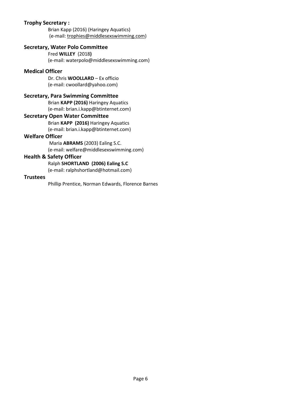#### **Trophy Secretary :**

Brian Kapp (2016) (Haringey Aquatics) (e-mail[: trophies@middlesexswimming.com\)](mailto:trophies@middlesexswimming.com)

#### **Secretary, Water Polo Committee**

Fred **WILLEY** (2018**)**  (e-mail: waterpolo@middlesexswimming.com)

#### **Medical Officer**

Dr. Chris **WOOLLARD** – Ex officio (e-mail: cwoollard@yahoo.com)

#### **Secretary, Para Swimming Committee**

Brian **KAPP (2016)** Haringey Aquatics (e-mail: brian.i.kapp@btinternet.com)

#### **Secretary Open Water Committee**

Brian **KAPP (2016)** Haringey Aquatics (e-mail: brian.i.kapp@btinternet.com)

#### **Welfare Officer**

Maria **ABRAMS** (2003) Ealing S.C. (e-mail: welfare@middlesexswimming.com)

#### **Health & Safety Officer**

Ralph **SHORTLAND (2006) Ealing S.C**

(e-mail: ralphshortland@hotmail.com)

#### **Trustees**

Phillip Prentice, Norman Edwards, Florence Barnes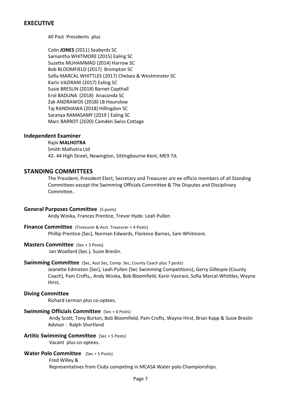#### <span id="page-6-0"></span>**EXECUTIVE**

All Past Presidents plus

Colin **JONES** (2011) Seabyrds SC Samantha WHITMORE (2015) Ealing SC Suzette MUHAMMAD (2014) Harrow SC Bob BLOOMFIELD (2017) Brompton SC Sofia MARCAL WHITTLES (2017) Chelsea & Westminster SC Karin VAZIRANI (2017) Ealing SC Susie BRESLIN (2018) Barnet Copthall Erol BADUNA (2018) Anaconda SC Zak ANDRAWOS (2018) LB Hounslow Taj RANDHAWA (2018) Hillingdon SC Saranya RAMASAMY (2019 ) Ealing SC Marc BARROT (2020) Camden Swiss Cottage

#### **Independent Examiner**

Rajiv **MALHOTRA** Smith Malhotra Ltd 42- 44 High Street, Newington, Sittingbourne Kent, ME9 7JL

#### **STANDING COMMITTEES**

The President, President Elect, Secretary and Treasurer are ex-officio members of all Standing Committees except the Swimming Officials Committee & The Disputes and Disciplinary Committee..

#### **General Purposes Committee** (5 posts)

Andy Woska, Frances Prentice, Trevor Hyde. Leah Pullen

#### **Finance Committee** (Treasurer & Asst. Treasurer + 4 Posts)

Phillip Prentice (Sec), Norman Edwards, Florence Barnes, Sam Whitmore.

#### **Masters Committee** (Sec + 3 Posts)

Ian Woollard (Sec.). Susie Breslin.

#### **Swimming Committee** (Sec, Asst Sec, Comp. Sec, County Coach plus 7 posts)

Jeanette Edmiston (Sec), Leah Pullen (Sec Swimming Competitions), Gerry Gillespie (County Coach), Pam Crofts,, Andy Woska, Bob Bloomfield, Karin Vasirani, Sofia Marcal-Whittles, Wayne Hirst,

#### **Diving Committee**

Richard Lerman plus co-optees.

#### **Swimming Officials Committee** (Sec + 6 Posts)

Andy Scott, Tony Burton, Bob Bloomfield, Pam Crofts, Wayne Hirst, Brian Kapp & Susie Breslin Advisor : Ralph Shortland

#### **Artitic Swimming Committee** (Sec + 5 Posts)

Vacant plus co-optees.

#### **Water Polo Committee** (Sec + 5 Posts)

Fred Willey &

Representatives from Clubs competing in MCASA Water polo Championships.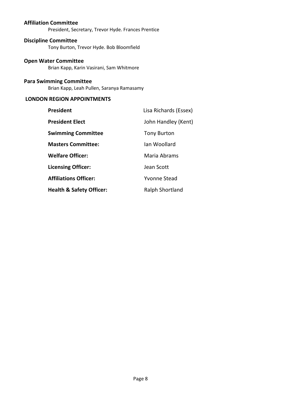#### **Affiliation Committee**

President, Secretary, Trevor Hyde. Frances Prentice

#### **Discipline Committee**

Tony Burton, Trevor Hyde. Bob Bloomfield

#### **Open Water Committee**

Brian Kapp, Karin Vasirani, Sam Whitmore

#### **Para Swimming Committee**

Brian Kapp, Leah Pullen, Saranya Ramasamy

### **LONDON REGION APPOINTMENTS**

| President                           | Lisa Richards (Essex) |
|-------------------------------------|-----------------------|
| President Elect                     | John Handley (Kent)   |
| Swimming Committee                  | Tony Burton           |
| <b>Masters Committee:</b>           | lan Woollard          |
| <b>Welfare Officer:</b>             | Maria Abrams          |
| <b>Licensing Officer:</b>           | Jean Scott            |
| <b>Affiliations Officer:</b>        | Yvonne Stead          |
| <b>Health &amp; Safety Officer:</b> | Ralph Shortland       |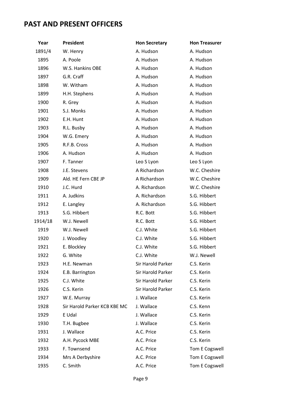# <span id="page-8-0"></span>**PAST AND PRESENT OFFICERS**

| Year    | President                    | <b>Hon Secretary</b> | <b>Hon Treasurer</b> |
|---------|------------------------------|----------------------|----------------------|
| 1891/4  | W. Henry                     | A. Hudson            | A. Hudson            |
| 1895    | A. Poole                     | A. Hudson            | A. Hudson            |
| 1896    | W.S. Hankins OBE             | A. Hudson            | A. Hudson            |
| 1897    | G.R. Craff                   | A. Hudson            | A. Hudson            |
| 1898    | W. Witham                    | A. Hudson            | A. Hudson            |
| 1899    | H.H. Stephens                | A. Hudson            | A. Hudson            |
| 1900    | R. Grey                      | A. Hudson            | A. Hudson            |
| 1901    | S.J. Monks                   | A. Hudson            | A. Hudson            |
| 1902    | E.H. Hunt                    | A. Hudson            | A. Hudson            |
| 1903    | R.L. Busby                   | A. Hudson            | A. Hudson            |
| 1904    | W.G. Emery                   | A. Hudson            | A. Hudson            |
| 1905    | R.F.B. Cross                 | A. Hudson            | A. Hudson            |
| 1906    | A. Hudson                    | A. Hudson            | A. Hudson            |
| 1907    | F. Tanner                    | Leo S Lyon           | Leo S Lyon           |
| 1908    | J.E. Stevens                 | A Richardson         | W.C. Cheshire        |
| 1909    | Ald. HE Fern CBE JP          | A Richardson         | W.C. Cheshire        |
| 1910    | J.C. Hurd                    | A. Richardson        | W.C. Cheshire        |
| 1911    | A. Judkins                   | A. Richardson        | S.G. Hibbert         |
| 1912    | E. Langley                   | A. Richardson        | S.G. Hibbert         |
| 1913    | S.G. Hibbert                 | R.C. Bott            | S.G. Hibbert         |
| 1914/18 | W.J. Newell                  | R.C. Bott            | S.G. Hibbert         |
| 1919    | W.J. Newell                  | C.J. White           | S.G. Hibbert         |
| 1920    | J. Woodley                   | C.J. White           | S.G. Hibbert         |
| 1921    | E. Blockley                  | C.J. White           | S.G. Hibbert         |
| 1922    | G. White                     | C.J. White           | W.J. Newell          |
| 1923    | H.E. Newman                  | Sir Harold Parker    | C.S. Kerin           |
| 1924    | E.B. Barrington              | Sir Harold Parker    | C.S. Kerin           |
| 1925    | C.J. White                   | Sir Harold Parker    | C.S. Kerin           |
| 1926    | C.S. Kerin                   | Sir Harold Parker    | C.S. Kerin           |
| 1927    | W.E. Murray                  | J. Wallace           | C.S. Kerin           |
| 1928    | Sir Harold Parker KCB KBE MC | J. Wallace           | C.S. Kenn            |
| 1929    | E Udal                       | J. Wallace           | C.S. Kerin           |
| 1930    | T.H. Bugbee                  | J. Wallace           | C.S. Kerin           |
| 1931    | J. Wallace                   | A.C. Price           | C.S. Kerin           |
| 1932    | A.H. Pycock MBE              | A.C. Price           | C.S. Kerin           |
| 1933    | F. Townsend                  | A.C. Price           | Tom E Cogswell       |
| 1934    | Mrs A Derbyshire             | A.C. Price           | Tom E Cogswell       |
| 1935    | C. Smith                     | A.C. Price           | Tom E Cogswell       |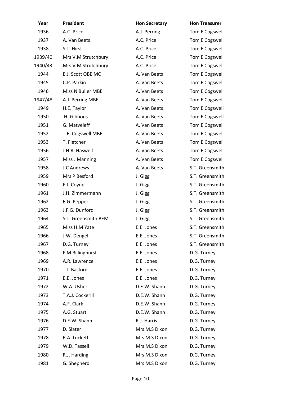| Year    | President             | <b>Hon Secretary</b> | <b>Hon Treasurer</b> |
|---------|-----------------------|----------------------|----------------------|
| 1936    | A.C. Price            | A.J. Perring         | Tom E Cogswell       |
| 1937    | A. Van Beets          | A.C. Price           | Tom E Cogswell       |
| 1938    | S.T. Hirst            | A.C. Price           | Tom E Cogswell       |
| 1939/40 | Mrs V.M Strutchbury   | A.C. Price           | Tom E Cogswell       |
| 1940/43 | Mrs V.M Strutchbury   | A.C. Price           | Tom E Cogswell       |
| 1944    | E.J. Scott OBE MC     | A. Van Beets         | Tom E Cogswell       |
| 1945    | C.P. Parkin           | A. Van Beets         | Tom E Cogswell       |
| 1946    | Miss N Buller MBE     | A. Van Beets         | Tom E Cogswell       |
| 1947/48 | A.J. Perring MBE      | A. Van Beets         | Tom E Cogswell       |
| 1949    | H.E. Taylor           | A. Van Beets         | Tom E Cogswell       |
| 1950    | H. Gibbons            | A. Van Beets         | Tom E Cogswell       |
| 1951    | G. Matveieff          | A. Van Beets         | Tom E Cogswell       |
| 1952    | T.E. Cogswell MBE     | A. Van Beets         | Tom E Cogswell       |
| 1953    | T. Fletcher           | A. Van Beets         | Tom E Cogswell       |
| 1956    | J.H.R. Haswell        | A. Van Beets         | Tom E Cogswell       |
| 1957    | <b>Miss J Manning</b> | A. Van Beets         | Tom E Cogswell       |
| 1958    | <b>J.C Andrews</b>    | A. Van Beets         | S.T. Greensmith      |
| 1959    | Mrs P Besford         | J. Gigg              | S.T. Greensmith      |
| 1960    | F.J. Coyne            | J. Gigg              | S.T. Greensmith      |
| 1961    | J.H. Zimmermann       | J. Gigg              | S.T. Greensmith      |
| 1962    | E.G. Pepper           | J. Gigg              | S.T. Greensmith      |
| 1963    | J.F.G. Dunford        | J. Gigg              | S.T. Greensmith      |
| 1964    | S.T. Greensmith BEM   | J. Gigg              | S.T. Greensmith      |
| 1965    | Miss H.M Yate         | E.E. Jones           | S.T. Greensmith      |
| 1966    | J.W. Dengel           | E.E. Jones           | S.T. Greensmith      |
| 1967    | D.G. Turney           | E.E. Jones           | S.T. Greensmith      |
| 1968    | F.M Billinghurst      | E.E. Jones           | D.G. Turney          |
| 1969    | A.R. Lawrence         | E.E. Jones           | D.G. Turney          |
| 1970    | T.J. Basford          | E.E. Jones           | D.G. Turney          |
| 1971    | E.E. Jones            | E.E. Jones           | D.G. Turney          |
| 1972    | W.A. Usher            | D.E.W. Shann         | D.G. Turney          |
| 1973    | T.A.J. Cockerill      | D.E.W. Shann         | D.G. Turney          |
| 1974    | A.F. Clark            | D.E.W. Shann         | D.G. Turney          |
| 1975    | A.G. Stuart           | D.E.W. Shann         | D.G. Turney          |
| 1976    | D.E.W. Shann          | R.J. Harris          | D.G. Turney          |
| 1977    | D. Slater             | Mrs M.S Dixon        | D.G. Turney          |
| 1978    | R.A. Luckett          | Mrs M.S Dixon        | D.G. Turney          |
| 1979    | W.D. Tassell          | Mrs M.S Dixon        | D.G. Turney          |
| 1980    | R.J. Harding          | Mrs M.S Dixon        | D.G. Turney          |
| 1981    | G. Shepherd           | Mrs M.S Dixon        | D.G. Turney          |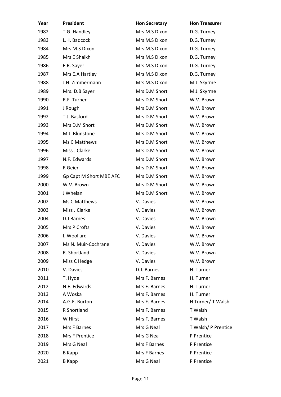| Year | President               | <b>Hon Secretary</b> | <b>Hon Treasurer</b> |
|------|-------------------------|----------------------|----------------------|
| 1982 | T.G. Handley            | Mrs M.S Dixon        | D.G. Turney          |
| 1983 | L.H. Badcock            | Mrs M.S Dixon        | D.G. Turney          |
| 1984 | Mrs M.S Dixon           | Mrs M.S Dixon        | D.G. Turney          |
| 1985 | Mrs E Shaikh            | Mrs M.S Dixon        | D.G. Turney          |
| 1986 | E.R. Sayer              | Mrs M.S Dixon        | D.G. Turney          |
| 1987 | Mrs E.A Hartley         | Mrs M.S Dixon        | D.G. Turney          |
| 1988 | J.H. Zimmermann         | Mrs M.S Dixon        | M.J. Skyrme          |
| 1989 | Mrs. D.B Sayer          | Mrs D.M Short        | M.J. Skyrme          |
| 1990 | R.F. Turner             | Mrs D.M Short        | W.V. Brown           |
| 1991 | J Rough                 | Mrs D.M Short        | W.V. Brown           |
| 1992 | T.J. Basford            | Mrs D.M Short        | W.V. Brown           |
| 1993 | Mrs D.M Short           | Mrs D.M Short        | W.V. Brown           |
| 1994 | M.J. Blunstone          | Mrs D.M Short        | W.V. Brown           |
| 1995 | Ms C Matthews           | Mrs D.M Short        | W.V. Brown           |
| 1996 | Miss J Clarke           | Mrs D.M Short        | W.V. Brown           |
| 1997 | N.F. Edwards            | Mrs D.M Short        | W.V. Brown           |
| 1998 | R Geier                 | Mrs D.M Short        | W.V. Brown           |
| 1999 | Gp Capt M Short MBE AFC | Mrs D.M Short        | W.V. Brown           |
| 2000 | W.V. Brown              | Mrs D.M Short        | W.V. Brown           |
| 2001 | J Whelan                | Mrs D.M Short        | W.V. Brown           |
| 2002 | Ms C Matthews           | V. Davies            | W.V. Brown           |
| 2003 | Miss J Clarke           | V. Davies            | W.V. Brown           |
| 2004 | D.J Barnes              | V. Davies            | W.V. Brown           |
| 2005 | Mrs P Crofts            | V. Davies            | W.V. Brown           |
| 2006 | I. Woollard             | V. Davies            | W.V. Brown           |
| 2007 | Ms N. Muir-Cochrane     | V. Davies            | W.V. Brown           |
| 2008 | R. Shortland            | V. Davies            | W.V. Brown           |
| 2009 | Miss C Hedge            | V. Davies            | W.V. Brown           |
| 2010 | V. Davies               | D.J. Barnes          | H. Turner            |
| 2011 | T. Hyde                 | Mrs F. Barnes        | H. Turner            |
| 2012 | N.F. Edwards            | Mrs F. Barnes        | H. Turner            |
| 2013 | A Woska                 | Mrs F. Barnes        | H. Turner            |
| 2014 | A.G.E. Burton           | Mrs F. Barnes        | H Turner/ T Walsh    |
| 2015 | <b>R</b> Shortland      | Mrs F. Barnes        | T Walsh              |
| 2016 | W Hirst                 | Mrs F. Barnes        | T Walsh              |
| 2017 | Mrs F Barnes            | Mrs G Neal           | T Walsh/ P Prentice  |
| 2018 | Mrs F Prentice          | Mrs G Nea            | P Prentice           |
| 2019 | Mrs G Neal              | Mrs F Barnes         | P Prentice           |
| 2020 | <b>B</b> Kapp           | Mrs F Barnes         | P Prentice           |
| 2021 | <b>B</b> Kapp           | Mrs G Neal           | P Prentice           |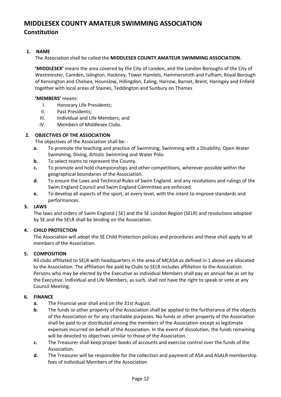# <span id="page-11-0"></span>**MIDDLESEX COUNTY AMATEUR SWIMMING ASSOCIATION Constitution**

#### **1. NAME**

The Association shall be called the **MIDDLESEX COUNTY AMATEUR SWIMMING ASSOCIATION.**

**'MIDDLESEX'** means the area covered by the City of London, and the London Boroughs of the City of Westminster, Camden, Islington, Hackney, Tower Hamlets, Hammersmith and Fulham, Royal Borough of Kensington and Chelsea, Hounslow, Hillingdon, Ealing, Harrow, Barnet, Brent, Haringey and Enfield together with local areas of Staines, Teddington and Sunbury on Thames

#### **'MEMBERS'** means:

- I. Honorary Life Presidents;
- II. Past Presidents;
- III. Individual and Life Members; and
- IV. Members of Middlesex Clubs.

#### **2. OBJECTIVES OF THE ASSOCIATION**

The objectives of the Association shall be: -

- **a.** To promote the teaching and practice of Swimming, Swimming with a Disability, Open Water Swimming, Diving, Artistic Swimming and Water Polo.
- **b.** To select teams to represent the County.
- **c.** To promote and hold championships and other competitions, wherever possible within the geographical boundaries of the Association.
- **d.** To ensure the Laws and Technical Rules of Swim England. and any resolutions and rulings of the Swim England Council and Swim England Committee are enforced.
- **e.** To develop all aspects of the sport, at every level, with the intent to improve standards and performances.

#### **3. LAWS**

The laws and orders of Swim England ( SE) and the SE London Region (SELR) and resolutions adopted by SE and the SELR shall be binding on the Association.

#### **4. CHILD PROTECTION**

The Association will adopt the SE Child Protection policies and procedures and these shall apply to all members of the Association.

#### **5. COMPOSITION**

All clubs affiliated to SELR with headquarters in the area of MCASA as defined in 1 above are allocated to the Association. The affiliation fee paid by Clubs to SELR includes affiliation to the Association. Persons who may be elected by the Executive as individual Members shall pay an annual fee as set by the Executive. Individual and Life Members, as such, shall not have the right to speak or vote at any Council Meeting.

#### **6. FINANCE**

- **a.** The Financial year shall end on the 31st August.
- **b.** The funds or other property of the Association shall be applied to the furtherance of the objects of the Association or for any charitable purposes. No funds or other property of the Association shall be paid to or distributed among the members of the Association except as legitimate expenses incurred on behalf of the Association. In the event of dissolution, the funds remaining will be devoted to objectives similar to those of the Association.
- **c.** The Treasurer shall keep proper books of accounts and exercise control over the funds of the Association.
- **d.** The Treasurer will be responsible for the collection and payment of ASA and ASALR membership fees of individual Members of the Association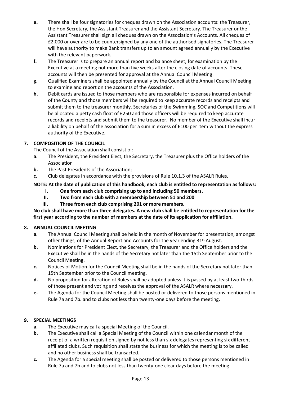- **e.** There shall be four signatories for cheques drawn on the Association accounts: the Treasurer, the Hon Secretary, the Assistant Treasurer and the Assistant Secretary. The Treasurer or the Assistant Treasurer shall sign all cheques drawn on the Association's Accounts. All cheques of £2,000 or over are to be countersigned by any one of the authorised signatories. The Treasurer will have authority to make Bank transfers up to an amount agreed annually by the Executive with the relevant paperwork.
- **f.** The Treasurer is to prepare an annual report and balance sheet, for examination by the Executive at a meeting not more than five weeks after the closing date of accounts. These accounts will then be presented for approval at the Annual Council Meeting.
- **g.** Qualified Examiners shall be appointed annually by the Council at the Annual Council Meeting to examine and report on the accounts of the Association.
- **h.** Debit cards are issued to those members who are responsible for expenses incurred on behalf of the County and those members will be required to keep accurate records and receipts and submit them to the treasurer monthly. Secretaries of the Swimming, SOC and Competitions will be allocated a petty cash float of £250 and those officers will be required to keep accurate records and receipts and submit them to the treasurer. No member of the Executive shall incur a liability on behalf of the association for a sum in excess of £100 per item without the express authority of the Executive.

#### **7. COMPOSITION OF THE COUNCIL**

The Council of the Association shall consist of:

- **a.** The President, the President Elect, the Secretary, the Treasurer plus the Office holders of the Association
- **b.** The Past Presidents of the Association;
- **c.** Club delegates in accordance with the provisions of Rule 10.1.3 of the ASALR Rules.

#### **NOTE: At the date of publication of this handbook, each club is entitled to representation as follows:**

- **I. One from each club comprising up to and including 50 members.**
- **II. Two from each club with a membership between 51 and 200**
- **III. Three from each club comprising 201 or more members.**

#### **No club shall have more than three delegates. A new club shall be entitled to representation for the first year according to the number of members at the date of its application for affiliation.**

#### **8. ANNUAL COUNCIL MEETING**

- **a.** The Annual Council Meeting shall be held in the month of November for presentation, amongst other things, of the Annual Report and Accounts for the year ending 31<sup>st</sup> August.
- **b.** Nominations for President Elect, the Secretary, the Treasurer and the Office holders and the Executive shall be in the hands of the Secretary not later than the 15th September prior to the Council Meeting.
- **c.** Notices of Motion for the Council Meeting shall be in the hands of the Secretary not later than 15th September prior to the Council meeting.
- **d.** No proposition for alteration of Rules shall be adopted unless it is passed by at least two-thirds of those present and voting and receives the approval of the ASALR where necessary.
- **e.** The Agenda for the Council Meeting shall be posted or delivered to those persons mentioned in Rule 7a and 7b. and to clubs not less than twenty-one days before the meeting.

#### **9. SPECIAL MEETINGS**

- **a.** The Executive may call a special Meeting of the Council.
- **b.** The Executive shall call a Special Meeting of the Council within one calendar month of the receipt of a written requisition signed by not less than six delegates representing six different affiliated clubs. Such requisition shall state the business for which the meeting is to be called and no other business shall be transacted.
- **c.** The Agenda for a special meeting shall be posted or delivered to those persons mentioned in Rule 7a and 7b and to clubs not less than twenty-one clear days before the meeting.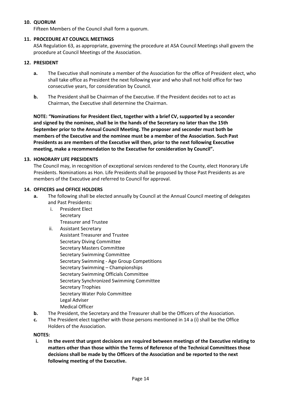#### **10. QUORUM**

Fifteen Members of the Council shall form a quorum.

#### **11. PROCEDURE AT COUNCIL MEETINGS**

ASA Regulation 63, as appropriate, governing the procedure at ASA Council Meetings shall govern the procedure at Council Meetings of the Association.

#### **12. PRESIDENT**

- **a.** The Executive shall nominate a member of the Association for the office of President elect, who shall take office as President the next following year and who shall not hold office for two consecutive years, for consideration by Council.
- **b.** The President shall be Chairman of the Executive. If the President decides not to act as Chairman, the Executive shall determine the Chairman.

**NOTE: "Nominations for President Elect, together with a brief CV, supported by a seconder and signed by the nominee, shall be in the hands of the Secretary no later than the 15th September prior to the Annual Council Meeting. The proposer and seconder must both be members of the Executive and the nominee must be a member of the Association. Such Past Presidents as are members of the Executive will then, prior to the next following Executive meeting, make a recommendation to the Executive for consideration by Council".**

#### **13. HONORARY LIFE PRESIDENTS**

The Council may, in recognition of exceptional services rendered to the County, elect Honorary Life Presidents. Nominations as Hon. Life Presidents shall be proposed by those Past Presidents as are members of the Executive and referred to Council for approval.

#### **14. OFFICERS and OFFICE HOLDERS**

- **a.** The following shall be elected annually by Council at the Annual Council meeting of delegates and Past Presidents:
	- i. President Elect Secretary Treasurer and Trustee
	- ii. Assistant Secretary Assistant Treasurer and Trustee Secretary Diving Committee Secretary Masters Committee Secretary Swimming Committee Secretary Swimming - Age Group Competitions Secretary Swimming – Championships Secretary Swimming Officials Committee Secretary Synchronized Swimming Committee Secretary Trophies Secretary Water Polo Committee Legal Adviser Medical Officer
- **b.** The President, the Secretary and the Treasurer shall be the Officers of the Association.
- **c.** The President elect together with those persons mentioned in 14 a (i) shall be the Office Holders of the Association.

#### **NOTES:**

**i. In the event that urgent decisions are required between meetings of the Executive relating to matters other than those within the Terms of Reference of the Technical Committees those decisions shall be made by the Officers of the Association and be reported to the next following meeting of the Executive.**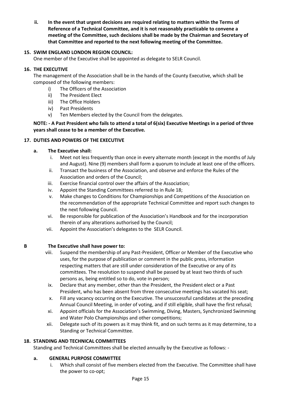**ii. In the event that urgent decisions are required relating to matters within the Terms of Reference of a Technical Committee, and it is not reasonably practicable to convene a meeting of the Committee, such decisions shall be made by the Chairman and Secretary of that Committee and reported to the next following meeting of the Committee.**

#### **15. SWIM ENGLAND LONDON REGION COUNCIL:**

One member of the Executive shall be appointed as delegate to SELR Council.

#### **16. THE EXECUTIVE**

The management of the Association shall be in the hands of the County Executive, which shall be composed of the following members:

- i) The Officers of the Association
- ii) The President Elect
- iii) The Office Holders
- iv) Past Presidents
- v) Ten Members elected by the Council from the delegates.

#### **NOTE: - A Past President who fails to attend a total of 6(six) Executive Meetings in a period of three years shall cease to be a member of the Executive.**

#### **17. DUTIES AND POWERS OF THE EXECUTIVE**

#### **a. The Executive shall:**

- i. Meet not less frequently than once in every alternate month (except in the months of July and August). Nine (9) members shall form a quorum to include at least one of the officers.
- ii. Transact the business of the Association, and observe and enforce the Rules of the Association and orders of the Council;
- iii. Exercise financial control over the affairs of the Association;
- iv. Appoint the Standing Committees referred to in Rule 18;
- v. Make changes to Conditions for Championships and Competitions of the Association on the recommendation of the appropriate Technical Committee and report such changes to the next following Council.
- vi. Be responsible for publication of the Association's Handbook and for the incorporation therein of any alterations authorised by the Council;
- vii. Appoint the Association's delegates to the SELR Council.

#### **B The Executive shall have power to:**

- viii. Suspend the membership of any Past-President, Officer or Member of the Executive who uses, for the purpose of publication or comment in the public press, information respecting matters that are still under consideration of the Executive or any of its committees. The resolution to suspend shall be passed by at least two thirds of such persons as, being entitled so to do, vote in person;
- ix. Declare that any member, other than the President, the President elect or a Past President, who has been absent from three consecutive meetings has vacated his seat;
- x. Fill any vacancy occurring on the Executive. The unsuccessful candidates at the preceding Annual Council Meeting, in order of voting, and if still eligible, shall have the first refusal;
- xi. Appoint officials for the Association's Swimming, Diving, Masters, Synchronized Swimming and Water Polo Championships and other competitions;
- xii. Delegate such of its powers as it may think fit, and on such terms as it may determine, to a Standing or Technical Committee.

#### **18. STANDING AND TECHNICAL COMMITTEES**

Standing and Technical Committees shall be elected annually by the Executive as follows: -

#### **a. GENERAL PURPOSE COMMITTEE**

i. Which shall consist of five members elected from the Executive. The Committee shall have the power to co-opt;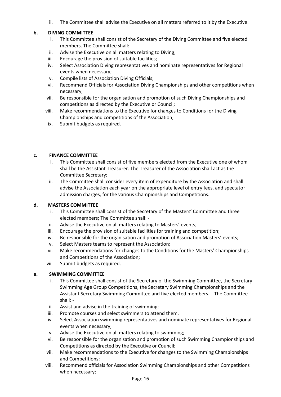ii. The Committee shall advise the Executive on all matters referred to it by the Executive.

#### **b. DIVING COMMITTEE**

- i. This Committee shall consist of the Secretary of the Diving Committee and five elected members. The Committee shall: -
- ii. Advise the Executive on all matters relating to Diving;
- iii. Encourage the provision of suitable facilities;
- iv. Select Association Diving representatives and nominate representatives for Regional events when necessary;
- v. Compile lists of Association Diving Officials;
- vi. Recommend Officials for Association Diving Championships and other competitions when necessary;
- vii. Be responsible for the organisation and promotion of such Diving Championships and competitions as directed by the Executive or Council;
- viii. Make recommendations to the Executive for changes to Conditions for the Diving Championships and competitions of the Association;
	- ix. Submit budgets as required.

#### **c. FINANCE COMMITTEE**

- i. This Committee shall consist of five members elected from the Executive one of whom shall be the Assistant Treasurer. The Treasurer of the Association shall act as the Committee Secretary;
- ii. The Committee shall consider every item of expenditure by the Association and shall advise the Association each year on the appropriate level of entry fees, and spectator admission charges, for the various Championships and Competitions.

#### **d. MASTERS COMMITTEE**

- i. This Committee shall consist of the Secretary of the Masters**'** Committee and three elected members; The Committee shall: -
- ii. Advise the Executive on all matters relating to Masters' events;
- iii. Encourage the provision of suitable facilities for training and competition;
- iv. Be responsible for the organisation and promotion of Association Masters' events;
- v. Select Masters teams to represent the Association;
- vi. Make recommendations for changes to the Conditions for the Masters' Championships and Competitions of the Association;
- vii. Submit budgets as required.

#### **e. SWIMMING COMMITTEE**

- i. This Committee shall consist of the Secretary of the Swimming Committee, the Secretary Swimming Age Group Competitions, the Secretary Swimming Championships and the Assistant Secretary Swimming Committee and five elected members. The Committee shall: -
- ii. Assist and advise in the training of swimming;
- iii. Promote courses and select swimmers to attend them.
- iv. Select Association swimming representatives and nominate representatives for Regional events when necessary;
- v. Advise the Executive on all matters relating to swimming;
- vi. Be responsible for the organisation and promotion of such Swimming Championships and Competitions as directed by the Executive or Council;
- vii. Make recommendations to the Executive for changes to the Swimming Championships and Competitions;
- viii. Recommend officials for Association Swimming Championships and other Competitions when necessary;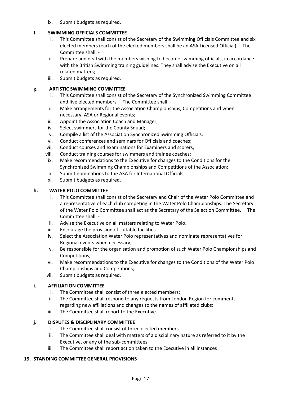ix. Submit budgets as required.

#### **f. SWIMMING OFFICIALS COMMITTEE**

- i. This Committee shall consist of the Secretary of the Swimming Officials Committee and six elected members (each of the elected members shall be an ASA Licensed Official). The Committee shall: -
- ii. Prepare and deal with the members wishing to become swimming officials, in accordance with the British Swimming training guidelines. They shall advise the Executive on all related matters;
- iii. Submit budgets as required.

#### **g. ARTISTIC SWIMMING COMMITTEE**

- i. This Committee shall consist of the Secretary of the Synchronized Swimming Committee and five elected members. The Committee shall: -
- ii. Make arrangements for the Association Championships, Competitions and when necessary, ASA or Regional events;
- iii. Appoint the Association Coach and Manager;
- iv. Select swimmers for the County Squad:
- v. Compile a list of the Association Synchronized Swimming Officials.
- vi. Conduct conferences and seminars for Officials and coaches;
- vii. Conduct courses and examinations for Examiners and scorers;
- viii. Conduct training courses for swimmers and trainee coaches;
- ix. Make recommendations to the Executive for changes to the Conditions for the Synchronized Swimming Championships and Competitions of the Association;
- x. Submit nominations to the ASA for International Officials;
- xi. Submit budgets as required.

#### **h. WATER POLO COMMITTEE**

- i. This Committee shall consist of the Secretary and Chair of the Water Polo Committee and a representative of each club competing in the Water Polo Championships. The Secretary of the Water Polo Committee shall act as the Secretary of the Selection Committee. The Committee shall: -
- ii. Advise the Executive on all matters relating to Water Polo.
- iii. Encourage the provision of suitable facilities.
- iv. Select the Association Water Polo representatives and nominate representatives for Regional events when necessary;
- v. Be responsible for the organisation and promotion of such Water Polo Championships and Competitions;
- vi. Make recommendations to the Executive for changes to the Conditions of the Water Polo Championships and Competitions;
- vii. Submit budgets as required.

#### **i. AFFILIATION COMMITTEE**

- i. The Committee shall consist of three elected members;
- ii. The Committee shall respond to any requests from London Region for comments regarding new affiliations and changes to the names of affiliated clubs;
- iii. The Committee shall report to the Executive.

#### **j. DISPUTES & DISCIPLINARY COMMITTEE**

- i. The Committee shall consist of three elected members
- ii. The Committee shall deal with matters of a disciplinary nature as referred to it by the Executive, or any of the sub-committees
- iii. The Committee shall report action taken to the Executive in all instances

#### **19. STANDING COMMITTEE GENERAL PROVISIONS**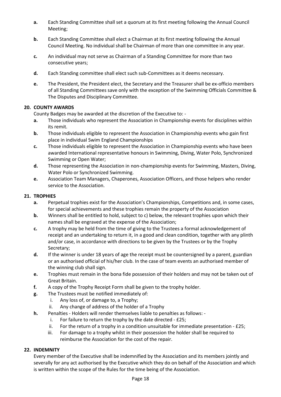- **a.** Each Standing Committee shall set a quorum at its first meeting following the Annual Council Meeting;
- **b.** Each Standing Committee shall elect a Chairman at its first meeting following the Annual Council Meeting. No individual shall be Chairman of more than one committee in any year.
- **c.** An individual may not serve as Chairman of a Standing Committee for more than two consecutive years;
- **d.** Each Standing committee shall elect such sub-Committees as it deems necessary.
- **e.** The President, the President elect, the Secretary and the Treasurer shall be ex-officio members of all Standing Committees save only with the exception of the Swimming Officials Committee & The Disputes and Disciplinary Committee.

#### **20. COUNTY AWARDS**

County Badges may be awarded at the discretion of the Executive to: -

- **a.** Those individuals who represent the Association in Championship events for disciplines within its remit.
- **b.** Those individuals eligible to represent the Association in Championship events who gain first place in individual Swim England Championships
- **c.** Those individuals eligible to represent the Association in Championship events who have been awarded International representative honours in Swimming, Diving, Water Polo, Synchronized Swimming or Open Water;
- **d.** Those representing the Association in non-championship events for Swimming, Masters, Diving, Water Polo or Synchronized Swimming.
- **e.** Association Team Managers, Chaperones, Association Officers, and those helpers who render service to the Association.

#### **21. TROPHIES**

- **a.** Perpetual trophies exist for the Association's Championships, Competitions and, in some cases, for special achievements and these trophies remain the property of the Association
- **b.** Winners shall be entitled to hold, subject to c) below, the relevant trophies upon which their names shall be engraved at the expense of the Association;
- **c.** A trophy may be held from the time of giving to the Trustees a formal acknowledgement of receipt and an undertaking to return it, in a good and clean condition, together with any plinth and/or case, in accordance with directions to be given by the Trustees or by the Trophy Secretary;
- **d.** If the winner is under 18 years of age the receipt must be countersigned by a parent, guardian or an authorised official of his/her club. In the case of team events an authorised member of the winning club shall sign.
- **e.** Trophies must remain in the bona fide possession of their holders and may not be taken out of Great Britain.
- **f.** A copy of the Trophy Receipt Form shall be given to the trophy holder.
- **g.** The Trustees must be notified immediately of:
	- i. Any loss of, or damage to, a Trophy;
	- ii. Any change of address of the holder of a Trophy
- **h.** Penalties Holders will render themselves liable to penalties as follows:
	- i. For failure to return the trophy by the date directed £25;
	- ii. For the return of a trophy in a condition unsuitable for immediate presentation £25;
	- iii. For damage to a trophy whilst in their possession the holder shall be required to reimburse the Association for the cost of the repair.

#### **22. INDEMNITY**

Every member of the Executive shall be indemnified by the Association and its members jointly and severally for any act authorised by the Executive which they do on behalf of the Association and which is written within the scope of the Rules for the time being of the Association.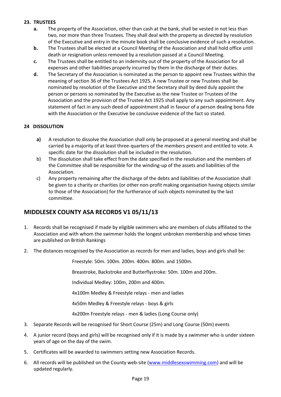#### **23. TRUSTEES**

- **a.** The property of the Association, other than cash at the bank, shall be vested in not less than two, nor more than three Trustees. They shall deal with the property as directed by resolution of the Executive and entry in the minute book shall be conclusive evidence of such a resolution.
- **b.** The Trustees shall be elected at a Council Meeting of the Association and shall hold office until death or resignation unless removed by a resolution passed at a Council Meeting.
- **c.** The Trustees shall be entitled to an indemnity out of the property of the Association for all expenses and other liabilities properly incurred by them in the discharge of their duties.
- **d.** The Secretary of the Association is nominated as the person to appoint new Trustees within the meaning of section 36 of the Trustees Act 1925. A new Trustee or new Trustees shall be nominated by resolution of the Executive and the Secretary shall by deed duly appoint the person or persons so nominated by the Executive as the new Trustee or Trustees of the Association and the provision of the Trustee Act 1925 shall apply to any such appointment. Any statement of fact in any such deed of appointment shall in favour of a person dealing bona fide with the Association or the Executive be conclusive evidence of the fact so stated.

#### **24 DISSOLUTION**

- **a)** A resolution to dissolve the Association shall only be proposed at a general meeting and shall be carried by a majority of at least three-quarters of the members present and entitled to vote. A specific date for the dissolution shall be included in the resolution.
- b) The dissolution shall take effect from the date specified in the resolution and the members of the Committee shall be responsible for the winding-up of the assets and liabilities of the Association.
- c) Any property remaining after the discharge of the debts and liabilities of the Association shall be given to a charity or charities (or other non-profit making organisation having objects similar to those of the Association) for the furtherance of such objects nominated by the last committee.

#### <span id="page-18-0"></span>**MIDDLESEX COUNTY ASA RECORDS V1 05/11/13**

- 1. Records shall be recognised if made by eligible swimmers who are members of clubs affiliated to the Association and with whom the swimmer holds the longest unbroken membership and whose times are published on British Rankings
- 2. The distances recognised by the Association as records for men and ladies, boys and girls shall be:

Freestyle: 50m. 100m. 200m. 400m. 800m. and 1500m.

Breastroke, Backstroke and Butterflystroke: 50m. 100m and 200m.

Individual Medley: 100m, 200m and 400m.

4x100m Medley & Freestyle relays - men and ladies

4x50m Medley & Freestyle relays - boys & girls

4x200m Freestyle relays - men & ladies (Long Course only)

- 3. Separate Records will be recognised for Short Course (25m) and Long Course (50m) events
- 4. A junior record (boys and girls) will be recognised only if it is made by a swimmer who is under sixteen years of age on the day of the swim.
- 5. Certificates will be awarded to swimmers setting new Association Records.
- 6. All records will be published on the County web-site [\(www.middlesexswimming.com\)](http://www.middlesexswimming.com/) and will be updated regularly.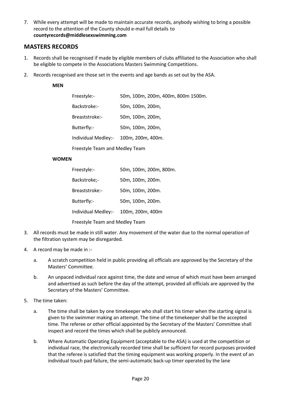7. While every attempt will be made to maintain accurate records, anybody wishing to bring a possible record to the attention of the County should e-mail full details to **countyrecords@middlesexswimming.com**

#### <span id="page-19-0"></span>**MASTERS RECORDS**

- 1. Records shall be recognised if made by eligible members of clubs affiliated to the Association who shall be eligible to compete in the Associations Masters Swimming Competitions.
- 2. Records recognised are those set in the events and age bands as set out by the ASA.

#### **MEN**

| Freestyle:-                    | 50m, 100m, 200m, 400m, 800m 1500m. |  |
|--------------------------------|------------------------------------|--|
| Backstroke:-                   | 50m, 100m, 200m,                   |  |
| Breaststroke:-                 | 50m, 100m, 200m,                   |  |
| Butterfly:-                    | 50m. 100m. 200m.                   |  |
| Individual Medley:-            | 100m. 200m. 400m.                  |  |
| Freestyle Team and Medley Team |                                    |  |

#### **WOMEN**

| Freestyle:-                    | 50m, 100m, 200m, 800m. |  |
|--------------------------------|------------------------|--|
| Backstroke;-                   | 50m, 100m, 200m.       |  |
| Breaststroke:-                 | 50m, 100m, 200m.       |  |
| Butterfly:-                    | 50m, 100m, 200m.       |  |
| Individual Medley:-            | 100m, 200m, 400m       |  |
| Freestyle Team and Medley Team |                        |  |

- 3. All records must be made in still water. Any movement of the water due to the normal operation of the filtration system may be disregarded.
- 4. A record may be made in :
	- a. A scratch competition held in public providing all officials are approved by the Secretary of the Masters' Committee.
	- b. An unpaced individual race against time, the date and venue of which must have been arranged and advertised as such before the day of the attempt, provided all officials are approved by the Secretary of the Masters' Committee.
- 5. The time taken:
	- a. The time shall be taken by one timekeeper who shall start his timer when the starting signal is given to the swimmer making an attempt. The time of the timekeeper shall be the accepted time. The referee or other official appointed by the Secretary of the Masters' Committee shall inspect and record the times which shall be publicly announced.
	- b. Where Automatic Operating Equipment (acceptable to the ASA) is used at the competition or individual race, the electronically recorded time shall be sufficient for record purposes provided that the referee is satisfied that the timing equipment was working properly. In the event of an individual touch pad failure, the semi-automatic back-up timer operated by the lane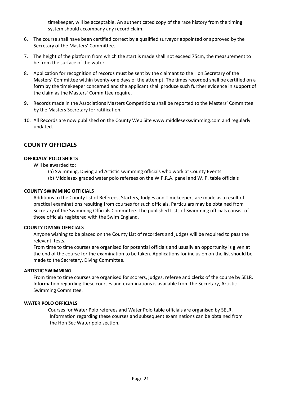timekeeper, will be acceptable. An authenticated copy of the race history from the timing system should accompany any record claim.

- 6. The course shall have been certified correct by a qualified surveyor appointed or approved by the Secretary of the Masters' Committee.
- 7. The height of the platform from which the start is made shall not exceed 75cm, the measurement to be from the surface of the water.
- 8. Application for recognition of records must be sent by the claimant to the Hon Secretary of the Masters' Committee within twenty-one days of the attempt. The times recorded shall be certified on a form by the timekeeper concerned and the applicant shall produce such further evidence in support of the claim as the Masters' Committee require.
- 9. Records made in the Associations Masters Competitions shall be reported to the Masters' Committee by the Masters Secretary for ratification.
- 10. All Records are now published on the County Web Site www.middlesexswimming.com and regularly updated.

#### <span id="page-20-0"></span>**COUNTY OFFICIALS**

#### **OFFICIALS' POLO SHIRTS**

Will be awarded to:

- (a) Swimming, Diving and Artistic swimming officials who work at County Events
- (b) Middlesex graded water polo referees on the W.P.R.A. panel and W. P. table officials

#### **COUNTY SWIMMING OFFICIALS**

Additions to the County list of Referees, Starters, Judges and Timekeepers are made as a result of practical examinations resulting from courses for such officials. Particulars may be obtained from Secretary of the Swimming Officials Committee. The published Lists of Swimming officials consist of those officials registered with the Swim England.

#### **COUNTY DIVING OFFICIALS**

Anyone wishing to be placed on the County List of recorders and judges will be required to pass the relevant tests.

From time to time courses are organised for potential officials and usually an opportunity is given at the end of the course for the examination to be taken. Applications for inclusion on the list should be made to the Secretary, Diving Committee.

#### **ARTISTIC SWIMMING**

From time to time courses are organised for scorers, judges, referee and clerks of the course by SELR. Information regarding these courses and examinations is available from the Secretary, Artistic Swimming Committee.

#### <span id="page-20-1"></span>**WATER POLO OFFICIALS**

Courses for Water Polo referees and Water Polo table officials are organised by SELR. Information regarding these courses and subsequent examinations can be obtained from the Hon Sec Water polo section.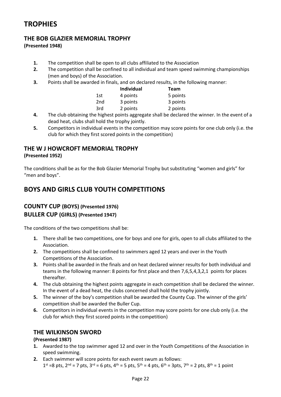# **TROPHIES**

### **THE BOB GLAZIER MEMORIAL TROPHY**

**(Presented 1948)**

- **1.** The competition shall be open to all clubs affiliated to the Association
- **2.** The competition shall be confined to all individual and team speed swimming championships (men and boys) of the Association.
- **3.** Points shall be awarded in finals, and on declared results, in the following manner:

|                 | Individual | Team     |
|-----------------|------------|----------|
| 1st             | 4 points   | 5 points |
| 2 <sub>nd</sub> | 3 points   | 3 points |
| 3rd             | 2 points   | 2 points |

- **4.** The club obtaining the highest points aggregate shall be declared the winner. In the event of a dead heat, clubs shall hold the trophy jointly.
- **5.** Competitors in individual events in the competition may score points for one club only (i.e. the club for which they first scored points in the competition)

### **THE W J HOWCROFT MEMORIAL TROPHY**

**(Presented 1952)**

The conditions shall be as for the Bob Glazier Memorial Trophy but substituting "women and girls" for "men and boys".

# **BOYS AND GIRLS CLUB YOUTH COMPETITIONS**

### **COUNTY CUP (BOYS) (Presented 1976) BULLER CUP (GIRLS) (Presented 1947)**

The conditions of the two competitions shall be:

- **1.** There shall be two competitions, one for boys and one for girls, open to all clubs affiliated to the Association.
- **2.** The competitions shall be confined to swimmers aged 12 years and over in the Youth Competitions of the Association.
- **3.** Points shall be awarded in the finals and on heat declared winner results for both individual and teams in the following manner: 8 points for first place and then 7,6,5,4,3,2,1 points for places thereafter.
- **4.** The club obtaining the highest points aggregate in each competition shall be declared the winner. In the event of a dead heat, the clubs concerned shall hold the trophy jointly.
- **5.** The winner of the boy's competition shall be awarded the County Cup. The winner of the girls' competition shall be awarded the Buller Cup.
- **6.** Competitors in individual events in the competition may score points for one club only (i.e. the club for which they first scored points in the competition)

#### **THE WILKINSON SWORD**

#### **(Presented 1987)**

- **1.** Awarded to the top swimmer aged 12 and over in the Youth Competitions of the Association in speed swimming.
- **2.** Each swimmer will score points for each event swum as follows:  $1^{st}$  =8 pts,  $2^{nd}$  = 7 pts,  $3^{rd}$  = 6 pts,  $4^{th}$  = 5 pts,  $5^{th}$  = 4 pts,  $6^{th}$  = 3pts,  $7^{th}$  = 2 pts,  $8^{th}$  = 1 point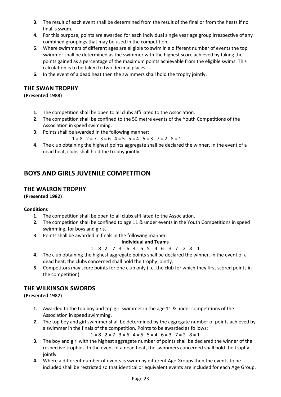- **3**. The result of each event shall be determined from the result of the final or from the heats if no final is swum.
- **4.** For this purpose, points are awarded for each individual single year age group irrespective of any combined groupings that may be used in the competition.
- **5.** Where swimmers of different ages are eligible to swim in a different number of events the top swimmer shall be determined as the swimmer with the highest score achieved by taking the points gained as a percentage of the maximum points achievable from the eligible swims. This calculation is to be taken to two decimal places.
- **6.** In the event of a dead heat then the swimmers shall hold the trophy jointly.

#### **THE SWAN TROPHY**

#### **(Presented 1988)**

- **1.** The competition shall be open to all clubs affiliated to the Association.
- **2**. The competition shall be confined to the 50 metre events of the Youth Competitions of the Association in speed swimming.
- **3**. Points shall be awarded in the following manner:
	- $1 = 8$   $2 = 7$   $3 = 6$   $4 = 5$   $5 = 4$   $6 = 3$   $7 = 2$   $8 = 1$
- **4**. The club obtaining the highest points aggregate shall be declared the winner. In the event of a dead heat, clubs shall hold the trophy jointly.

# **BOYS AND GIRLS JUVENILE COMPETITION**

#### **THE WALRON TROPHY**

**(Presented 1982)**

#### **Conditions**

- **1.** The competition shall be open to all clubs affiliated to the Association.
- **2.** The competition shall be confined to age 11 & under events in the Youth Competitions in speed swimming, for boys and girls.
- **3**. Points shall be awarded in finals in the following manner:

#### **Individual and Teams**

- $1 = 8$   $2 = 7$   $3 = 6$   $4 = 5$   $5 = 4$   $6 = 3$   $7 = 2$   $8 = 1$
- **4.** The club obtaining the highest aggregate points shall be declared the winner. In the event of a dead heat, the clubs concerned shall hold the trophy jointly.
- **5.** Competitors may score points for one club only (i.e. the club for which they first scored points in the competition).

#### **THE WILKINSON SWORDS**

#### **(Presented 1987)**

- **1.** Awarded to the top boy and top girl swimmer in the age 11 & under competitions of the Association in speed swimming.
- **2.** The top boy and girl swimmer shall be determined by the aggregate number of points achieved by a swimmer in the finals of the competition. Points to be awarded as follows:

 $1 = 8$   $2 = 7$   $3 = 6$   $4 = 5$   $5 = 4$   $6 = 3$   $7 = 2$   $8 = 1$ 

- **3.** The boy and girl with the highest aggregate number of points shall be declared the winner of the respective trophies. In the event of a dead heat, the swimmers concerned shall hold the trophy iointly.
- **4.** Where a different number of events is swum by different Age Groups then the events to be included shall be restricted so that identical or equivalent events are included for each Age Group.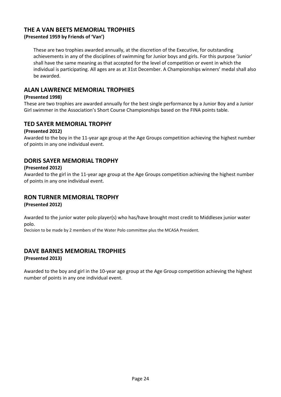#### **THE A VAN BEETS MEMORIAL TROPHIES**

**(Presented 1959 by Friends of 'Van')**

These are two trophies awarded annually, at the discretion of the Executive, for outstanding achievements in any of the disciplines of swimming for Junior boys and girls. For this purpose 'Junior' shall have the same meaning as that accepted for the level of competition or event in which the individual is participating. All ages are as at 31st December. A Championships winners' medal shall also be awarded.

#### **ALAN LAWRENCE MEMORIAL TROPHIES**

#### **(Presented 1998)**

These are two trophies are awarded annually for the best single performance by a Junior Boy and a Junior Girl swimmer in the Association's Short Course Championships based on the FINA points table.

#### **TED SAYER MEMORIAL TROPHY**

#### **(Presented 2012)**

Awarded to the boy in the 11-year age group at the Age Groups competition achieving the highest number of points in any one individual event.

#### **DORIS SAYER MEMORIAL TROPHY**

#### **(Presented 2012)**

Awarded to the girl in the 11-year age group at the Age Groups competition achieving the highest number of points in any one individual event.

#### **RON TURNER MEMORIAL TROPHY**

**(Presented 2012)**

Awarded to the junior water polo player(s) who has/have brought most credit to Middlesex junior water polo.

Decision to be made by 2 members of the Water Polo committee plus the MCASA President.

# **DAVE BARNES MEMORIAL TROPHIES**

#### **(Presented 2013)**

Awarded to the boy and girl in the 10-year age group at the Age Group competition achieving the highest number of points in any one individual event.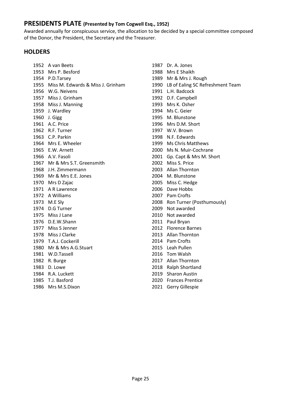#### <span id="page-24-0"></span>**PRESIDENTS PLATE (Presented by Tom Cogwell Esq., 1952)**

Awarded annually for conspicuous service, the allocation to be decided by a special committee composed of the Donor, the President, the Secretary and the Treasurer.

#### **HOLDERS**

 A van Beets Mrs P. Besford P.D.Tarsey Miss M. Edwards & Miss J. Grinham W.G. Neivens Miss J. Grinham Miss J. Manning J. Wardley J. Gigg A.C. Price R.F. Turner C.P. Parkin Mrs E. Wheeler E.W. Arnett A.V. Fasoli Mr & Mrs S.T. Greensmith J.H. Zimmermann Mr & Mrs E.E. Jones Mrs D Zajac A R Lawrence A Williams M.E Sly D.G Turner Miss J Lane D.E.W.Shann Miss S Jenner Miss J Clarke T.A.J. Cockerill Mr & Mrs A.G.Stuart W.D.Tassell R. Burge D. Lowe R.A. Luckett T.J. Basford Mrs M.S.Dixon

 Dr. A. Jones Mrs E Shaikh Mr & Mrs J. Rough LB of Ealing SC Refreshment Team L.H. Badcock D.F. Campbell Mrs K. Osher Ms C. Geier M. Blunstone Mrs D.M. Short W.V. Brown N.F. Edwards Ms Chris Matthews Ms N. Muir-Cochrane Gp. Capt & Mrs M. Short Miss S. Price Allan Thornton M. Blunstone Miss C. Hedge Dave Hobbs Pam Crofts Ron Turner (Posthumously) Not awarded Not awarded Paul Bryan Florence Barnes Allan Thornton Pam Crofts Leah Pullen Tom Walsh Allan Thornton Ralph Shortland Sharon Austin Frances Prentice Gerry Gillespie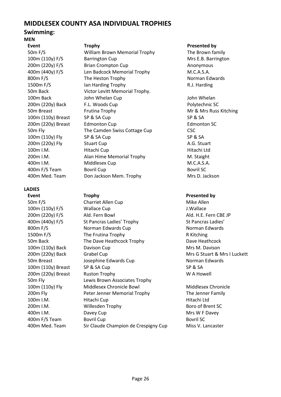### <span id="page-25-0"></span>**MIDDLESEX COUNTY ASA INDIVIDUAL TROPHIES**

#### **Swimming: MEN**

**Event Exercise Event COVE Trophy Presented by**<br> **Example 26 The Brown fact COVE COVER COVER William Brown Memorial Trophy The Brown fact COVER COVER COVER** 200m (220y) Breast Edmonton Cup

#### **LADIES**

**Event Trophy Presented by**

William Brown Memorial Trophy The Brown family 100m (110y) F/S Barrington Cup Barrington Cup Mrs E.B. Barrington 200m (220y) F/S Brian Crompton Cup Anonymous 400m (440y) F/S Len Badcock Memorial Trophy M.C.A.S.A. 800m F/S The Heston Trophy Norman Edwards 1500m F/S Ian Harding Trophy R.J. Harding 50m Back Victor Levitt Memorial Trophy. 100m Back John Whelan Cup John Whelan John Whelan 200m (220y) Back F.L. Woods Cup F.C. Polytechnic SC 50m Breast Frutina Trophy **Mr & Mrs Russ Kitching** Mr & Mrs Russ Kitching 100m (110y) Breast SP & SA Cup SP & SA 50m Fly The Camden Swiss Cottage Cup CSC 100m (110y) Fly SP & SA Cup SP & SA SA SA 200m (220v) Fly Stuart Cup Cup A.G. Stuart A.G. Stuart 100m I.M. Hitachi Cup Hitachi Ltd 200m I.M. **Alan Hime Memorial Trophy** M. Staight 400m I.M. Middlesex Cup M.C.A.S.A. 400m F/S Team Bovril Cup Bovril SC Bovril SC 400m Med. Team Don Jackson Mem. Trophy Mrs D. Jackson

50m F/S Charriet Allen Cup Constanting Mike Allen 100m (110y) F/S Wallace Cup J.Wallace 200m (220y) F/S Ald. Fern Bowl Ald. H.E. Fern CBE JP 400m (440y) F/S St Pancras Ladies' Trophy St Pancras Ladies' 800m F/S Norman Edwards Cup Norman Edwards Cup 1500m F/S The Frutina Trophy The Frutina Trophy 50m Back The Dave Heathcock Trophy Dave Heathcock 100m (110y) Back Davison Cup Davison Cup Mrs M. Davison 200m (220y) Back Grabel Cup Gramman Mrs G Stuart & Mrs I Luckett 50m Breast **Superset Contact Accord September 2016** Norman Edwards Cup 100m (110v) Breast SP & SA Cup SP & SA SA 200m (220y) Breast Ruston Trophy W A Howell 50m Fly Lewis Brown Associates Trophy 100m (110y) Fly Middlesex Chronicle Bowl Middlesex Chronicle 200m Fly Peter Jenner Memorial Trophy The Jenner Family 100m I.M. Hitachi Cup Hitachi Ltd 200m I.M. Willesden Trophy Boro of Brent SC 400m I.M. Davey Cup Mrs W F Davey 400m F/S Team Bovril Cup Bovril Cup Bovril SC 400m Med. Team Sir Claude Champion de Crespigny Cup Miss V. Lancaster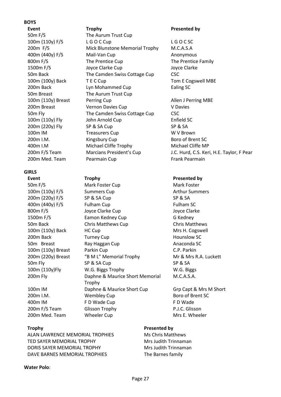#### **BOYS**

**Event Presented by Presented by** 100m (110y) Fly John Arnold Cup

#### **GIRLS**

50m F/S The Aurum Trust Cup 100m (110y) F/S L G O C Cup L G O C SC<br>200m F/S Mick Blunstone Memorial Trophy M.C.A.S.A 200m F/S Mick Blunstone Memorial Trophy 400m (440y) F/S Mail-Van Cup Anonymous 800m F/S The Prentice Cup The Prentice Family 1500m F/S Joyce Clarke Cup Joyce Clarke 50m Back The Camden Swiss Cottage Cup CSC 100m (100y) Back T E C Cup Tom E Cogswell MBE 200m Back Lyn Mohammed Cup Ealing SC 50m Breast The Aurum Trust Cup 100m (110y) Breast Perring Cup Allen J Perring MBE 200m Breast Vernon Davies Cup V Davies<br>
The Camdon Swiss Cottage Cup CSC 50m Fly The Camden Swiss Cottage Cup CSC<br>100m (110v) Fly Iohn Arnold Cup Cup Frield SC 200m (220y) Fly SP & SA Cup SP & SA 100m IM Treasurers Cup W V Brown<br>100m I M (Kingshury Cun) Roro of Brent SC Kingsbury Cup 400m I.M Michael Cliffe Trophy Michael Cliffe MP 200m Med. Team Pearmain Cup Frank Pearmain

50m F/S Mark Foster Cup Mark Foster 100m (110v) F/S Summers Cup **Summers Cup** Arthur Summers 200m (220v) F/S SP & SA Cup SP & SA SA 400m (440y) F/S Fulham Cup Fulham SC 800m F/S Joyce Clarke Cup Joyce Clarke 1500m F/S Eamon Kedney Cup G Kedney 50m Back Chris Matthews Cup Chris Matthews 100m (110v) Back HC Cup HC Cup Mrs H. Cogswell 200m Back Turney Cup Turney Cup Hounslow SC 50m Breast Ray Haggan Cup **Anaconda SC** 100m (110y) Breast Parkin Cup C.P. Parkin 200m (220y) Breast "B M L" Memorial Trophy Mr & Mrs R.A. Luckett 50m Fly SP & SA Cup SP & SA Cup SP & SA 100m (110y)Fly W.G. Biggs Trophy W.G. Biggs 200m Fly Daphne & Maurice Short Memorial Trophy 100m IM Daphne & Maurice Short Cup Grp Capt & Mrs M Short 200m I.M. Wembley Cup Boro of Brent SC 400m IM F D Wade Cup F D Wade Cup 200m F/S Team Glisson Trophy B.J.C. Glisson 200m Med. Team Wheeler Cup Mrs E. Wheeler

200m F/S Team Marcians President's Cup J.C. Hurd, C.S. Keri, H.E. Taylor, F Pear

#### **Event COVEY Trophy Presented by**

M.C.A.S.A.

ALAN LAWRENCE MEMORIAL TROPHIES Ms Chris Matthews TED SAYER MEMORIAL TROPHY MRS Judith Trinnaman DORIS SAYER MEMORIAL TROPHY Mrs Judith Trinnaman DAVE BARNES MEMORIAL TROPHIES The Barnes family

#### **Trophy Presented by**

#### **Water Polo**: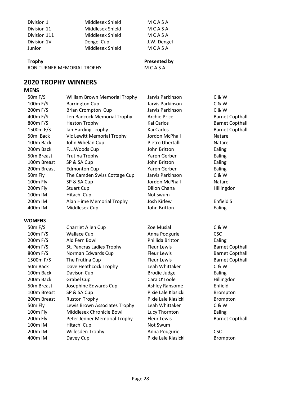| Division 1   | Middlesex Shield | MCASA       |
|--------------|------------------|-------------|
| Division 11  | Middlesex Shield | MCASA       |
| Division 111 | Middlesex Shield | MCASA       |
| Division 1V  | Dengel Cup       | J.W. Dengel |
| Junior       | Middlesex Shield | MCASA       |
|              |                  |             |

**Trophy Presented by**<br> **RON TURNER MEMORIAL TROPHY PRODUCE A SA** RON TURNER MEMORIAL TROPHY

# <span id="page-27-0"></span>**2020 TROPHY WINNERS**

### **MENS**

| 50m F/S               | William Brown Memorial Trophy | Jarvis Parkinson    | C & W                  |
|-----------------------|-------------------------------|---------------------|------------------------|
| 100m F/S              | <b>Barrington Cup</b>         | Jarvis Parkinson    | C & W                  |
| 200m F/S              | <b>Brian Crompton Cup</b>     | Jarvis Parkinson    | C&W                    |
| 400m F/S              | Len Badcock Memorial Trophy   | <b>Archie Price</b> | <b>Barnet Copthall</b> |
| 800m F/S              | <b>Heston Trophy</b>          | Kai Carlos          | <b>Barnet Copthall</b> |
| 1500m F/S             | Ian Harding Trophy            | Kai Carlos          | <b>Barnet Copthall</b> |
| 50m Back              | Vic Lewitt Memorial Trophy    | Jordon McPhail      | Natare                 |
| 100m Back             | John Whelan Cup               | Pietro Ubertalli    | Natare                 |
| 200 <sub>m</sub> Back | F.L.Woods Cup                 | John Britton        | Ealing                 |
| 50m Breast            | Frutina Trophy                | Yaron Gerber        | Ealing                 |
| 100m Breast           | SP & SA Cup                   | John Britton        | Ealing                 |
| 200m Breast           | <b>Edmonton Cup</b>           | Yaron Gerber        | Ealing                 |
| 50m Fly               | The Camden Swiss Cottage Cup  | Jarvis Parkinson    | C&W                    |
| 100m Fly              | SP & SA Cup                   | Jordon McPhail      | Natare                 |
| 200m Fly              | <b>Stuart Cup</b>             | Dillon Chana        | Hillingdon             |
| 100m IM               | Hitachi Cup                   | Not swum            |                        |
| 200m IM               | Alan Hime Memorial Trophy     | Josh Kirlew         | Enfield S              |
| 400m IM               | Middlesex Cup                 | John Britton        | Ealing                 |
| <b>WOMENS</b>         |                               |                     |                        |
| 50 <sub>m</sub> F/S   | Charriet Allen Cup            | Zoe Musial          | C & W                  |
| 100m F/S              | <b>Wallace Cup</b>            | Anna Podguriel      | <b>CSC</b>             |
| 200m F/S              | Ald Fern Bowl                 | Phillida Britton    | Ealing                 |
| 400m F/S              | St. Pancras Ladies Trophy     | <b>Fleur Lewis</b>  | <b>Barnet Copthall</b> |
| 800m F/S              | Norman Edwards Cup            | <b>Fleur Lewis</b>  | <b>Barnet Copthall</b> |
| 1500m F/S             | The Frutina Cup               | <b>Fleur Lewis</b>  | <b>Barnet Copthall</b> |
| 50m Back              | Dave Heathcock Trophy         | Leah Whittaker      | C & W                  |
| 100m Back             | Davison Cup                   | <b>Brodie Judge</b> | Ealing                 |
| 200m Back             | Grabel Cup                    | Cara O'Toole        | Hillingdon             |
| 50m Breast            | Josephine Edwards Cup         | Ashley Ransome      | Enfield                |
| 100m Breast           | SP & SA Cup                   | Pixie Lale Klasicki | Brompton               |
| 200m Breast           | <b>Ruston Trophy</b>          | Pixie Lale Klasicki | Brompton               |
| 50m Fly               | Lewis Brown Associates Trophy | Leah Whittaker      | C & W                  |
| 100m Fly              | Middlesex Chronicle Bowl      | Lucy Thornton       | Ealing                 |
| 200m Fly              | Peter Jenner Memorial Trophy  | <b>Fleur Lewis</b>  | <b>Barnet Copthall</b> |
| 100m IM               | Hitachi Cup                   | Not Swum            |                        |
| 200 <sub>m</sub> IM   | Willesden Trophy              | Anna Podguriel      | <b>CSC</b>             |
| 400m IM               | Davey Cup                     | Pixie Lale Klasicki | Brompton               |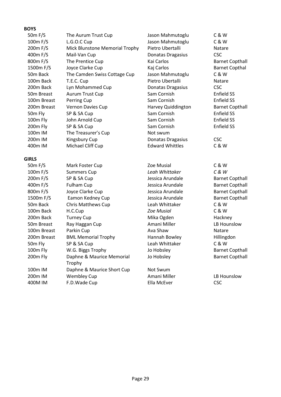#### **BOYS**

| 50 <sub>m</sub> F/S   | The Aurum Trust Cup            | Jason Mahmutoglu       | C&W               |
|-----------------------|--------------------------------|------------------------|-------------------|
| 100m F/S              | L.G.O.C Cup                    | Jason Mahmutoglu       | C&W               |
| 200m F/S              | Mick Blunstone Memorial Trophy | Pietro Ubertalli       | Natare            |
| 400m F/S              | Mail-Van Cup                   | Donatas Dragasius      | <b>CSC</b>        |
| 800m F/S              | The Prentice Cup               | Kai Carlos             | <b>Barnet Co</b>  |
| 1500m F/S             | Joyce Clarke Cup               | Kaj Carlos             | <b>Barnet Co</b>  |
| 50 <sub>m</sub> Back  | The Camden Swiss Cottage Cup   | Jason Mahmutoglu       | C&W               |
| 100m Back             | T.E.C. Cup                     | Pietro Ubertalli       | <b>Natare</b>     |
| 200 <sub>m</sub> Back | Lyn Mohammed Cup               | Donatas Dragasius      | CSC               |
| 50m Breast            | Aurum Trust Cup                | Sam Cornish            | <b>Enfield SS</b> |
| 100m Breast           | Perring Cup                    | Sam Cornish            | <b>Enfield SS</b> |
| 200m Breast           | Vernon Davies Cup              | Harvey Quiddington     | <b>Barnet Co</b>  |
| 50m Fly               | SP & SA Cup                    | Sam Cornish            | <b>Enfield SS</b> |
| 100m Fly              | John Arnold Cup                | Sam Cornish            | <b>Enfield SS</b> |
| 200m Fly              | SP & SA Cup                    | Sam Cornish            | Enfield SS        |
| 100m IM               | The Treasurer's Cup            | Not swum               |                   |
| 200 <sub>m</sub> IM   | Kingsbury Cup                  | Donatas Dragasius      | CSC               |
| 400m IM               | Michael Cliff Cup              | <b>Edward Whittles</b> | C & W             |

#### **GIRLS**

| 50 <sub>m</sub> F/S   | Mark Foster Cup            | Zoe Musial        | C & W      |
|-----------------------|----------------------------|-------------------|------------|
| 100m F/S              | <b>Summers Cup</b>         | Leah Whittaker    | C & W      |
| 200m F/S              | SP & SA Cup                | Jessica Arundale  | Barnet     |
| 400m F/S              | <b>Fulham Cup</b>          | Jessica Arundale  | Barnet     |
| 800m F/S              | Joyce Clarke Cup           | Jessica Arundale  | Barnet     |
| 1500m F/S             | Eamon Kedney Cup           | Jessica Arundale  | Barnet     |
| 50 <sub>m</sub> Back  | Chris Matthews Cup         | Leah Whittaker    | C&W        |
| 100m Back             | H.C.Cup                    | <b>Zoe Musial</b> | C & W      |
| 200 <sub>m</sub> Back | <b>Turney Cup</b>          | Mika Ogden        | Hackne     |
| 50m Breast            | Ray Haggan Cup             | Amani Miller      | LB Hou     |
| 100m Breast           | Parkin Cup                 | Ava Shaw          | Natare     |
| 200m Breast           | <b>BML Memorial Trophy</b> | Hannah Bowley     | Hillingo   |
| 50m Fly               | SP & SA Cup                | Leah Whittaker    | C&W        |
| 100m Fly              | W.G. Biggs Trophy          | Jo Hobsley        | Barnet     |
| 200m Fly              | Daphne & Maurice Memorial  | Jo Hobsley        | Barnet     |
|                       | Trophy                     |                   |            |
| 100 <sub>m</sub> IM   | Daphne & Maurice Short Cup | Not Swum          |            |
| 200 <sub>m</sub> IM   | <b>Wembley Cup</b>         | Amani Miller      | LB Hou     |
| 400M IM               | F.D.Wade Cup               | Ella McEver       | <b>CSC</b> |
|                       |                            |                   |            |

**Jason Mahmutoglu C & W**<br>Jason Mahmutoglu C & W **1ason Mahmutoglu C & W**<br>Pietro Ubertalli **C** Matare 2000 y Pietro Ubertalli<br>2000 Donatas Dragasius Pietro USC Donatas Dragasius<br>Kai Carlos 1500m F/S Joyce Clarke Cup Kaj Carlos Barnet Copthal Jason Mahmutoglu C & W Pietro Ubertalli **Natare**<br>1000atas Dragasius CSC. **2000 Back Dragasius** CSC<br>
2000 Back Cornish<br>
2000 Back Enfield CSS **2000 Breast Vernon Barnet Copthall Sam Cornish Copthall Sam Constant Copthall** 100 Sam Cornish **Enfield SS**<br>100 Sam Cornish **Enfield SS** Not swum 200m Donatas Dragasius CSC<br>2000 Fdward Whittles CR W **Edward Whittles** 

100m F/S Summers Cup *Leah Whittaker C & W* Jessica Arundale Barnet Copthall Jessica Arundale Barnet Copthall Jessica Arundale Barnet Copthall 1500m F/S Eamon Kedney Cup Jessica Arundale Barnet Copthall Leah Whittaker C & W 100m Back H.C.Cup *Zoe Musial* C & W Mika Ogden Hackney Amani Miller **LB Hounslow** Hannah Bowley Hillingdon Leah Whittaker C & W Jo Hobsley Barnet Copthall

Not Swum Amani Miller LB Hounslow Ella McEver CSC

**Barnet Copthall** 

Jo Hobsley Barnet Copthall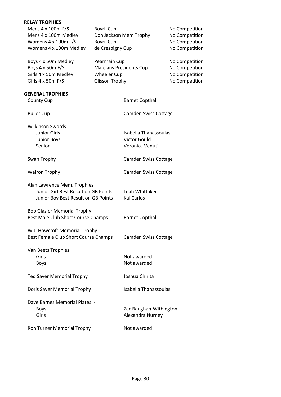| <b>RELAY TROPHIES</b>                |                   |                                |                |
|--------------------------------------|-------------------|--------------------------------|----------------|
| Mens 4 x 100m F/S                    | <b>Bovril Cup</b> |                                | No Competition |
| Mens 4 x 100m Medley                 |                   | Don Jackson Mem Trophy         | No Competition |
| Womens 4 x 100m F/S                  | <b>Bovril Cup</b> |                                | No Competition |
| Womens 4 x 100m Medley               | de Crespigny Cup  |                                | No Competition |
|                                      |                   |                                |                |
| Boys 4 x 50m Medley                  | Pearmain Cup      |                                | No Competition |
| Boys 4 x 50m F/S                     |                   | <b>Marcians Presidents Cup</b> | No Competition |
| Girls 4 x 50m Medley                 | Wheeler Cup       |                                | No Competition |
| Girls 4 x 50m F/S                    | Glisson Trophy    |                                | No Competition |
|                                      |                   |                                |                |
| <b>GENERAL TROPHIES</b>              |                   |                                |                |
| <b>County Cup</b>                    |                   | <b>Barnet Copthall</b>         |                |
|                                      |                   |                                |                |
| <b>Buller Cup</b>                    |                   | Camden Swiss Cottage           |                |
|                                      |                   |                                |                |
| <b>Wilkinson Swords</b>              |                   |                                |                |
| <b>Junior Girls</b>                  |                   | Isabella Thanassoulas          |                |
| <b>Junior Boys</b>                   |                   | <b>Victor Gould</b>            |                |
| Senior                               |                   | Veronica Venuti                |                |
|                                      |                   |                                |                |
| Swan Trophy                          |                   | Camden Swiss Cottage           |                |
|                                      |                   |                                |                |
| <b>Walron Trophy</b>                 |                   | Camden Swiss Cottage           |                |
|                                      |                   |                                |                |
| Alan Lawrence Mem. Trophies          |                   |                                |                |
| Junior Girl Best Result on GB Points |                   | Leah Whittaker                 |                |
| Junior Boy Best Result on GB Points  |                   | Kai Carlos                     |                |
|                                      |                   |                                |                |
| <b>Bob Glazier Memorial Trophy</b>   |                   |                                |                |
| Best Male Club Short Course Champs   |                   | <b>Barnet Copthall</b>         |                |
|                                      |                   |                                |                |
| W.J. Howcroft Memorial Trophy        |                   |                                |                |
| Best Female Club Short Course Champs |                   | <b>Camden Swiss Cottage</b>    |                |
|                                      |                   |                                |                |
| Van Beets Trophies                   |                   |                                |                |
| Girls                                |                   | Not awarded                    |                |
| Boys                                 |                   | Not awarded                    |                |
|                                      |                   |                                |                |
| Ted Sayer Memorial Trophy            |                   | Joshua Chirita                 |                |
|                                      |                   |                                |                |
| Doris Sayer Memorial Trophy          |                   | Isabella Thanassoulas          |                |
|                                      |                   |                                |                |
| Dave Barnes Memorial Plates -        |                   |                                |                |
| Boys                                 |                   | Zac Baughan-Withington         |                |
| Girls                                |                   | Alexandra Nurney               |                |
|                                      |                   |                                |                |
| Ron Turner Memorial Trophy           |                   | Not awarded                    |                |
|                                      |                   |                                |                |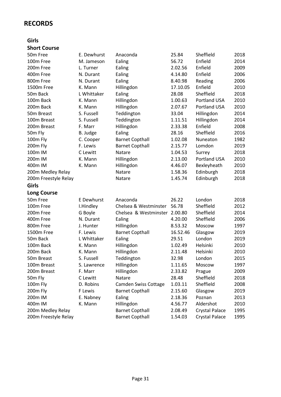# <span id="page-30-0"></span>**RECORDS**

#### **Girls**

### **Short Course**

| 50m Free             | E. Dewhurst       | Anaconda                      | 25.84    | Sheffield             | 2018 |
|----------------------|-------------------|-------------------------------|----------|-----------------------|------|
| 100m Free            | M. Jameson        | Ealing                        | 56.72    | Enfield               | 2014 |
| 200m Free            | L. Turner         | Ealing                        | 2.02.56  | Enfield               | 2009 |
| 400m Free            | N. Durant         | Ealing                        | 4.14.80  | Enfield               | 2006 |
| 800m Free            | N. Durant         | Ealing                        | 8.40.98  | Reading               | 2006 |
| 1500m Free           | K. Mann           | Hillingdon                    | 17.10.05 | Enfield               | 2010 |
| 50m Back             | L Whittaker       | Ealing                        | 28.08    | Sheffield             | 2018 |
| 100m Back            | K. Mann           | Hillingdon                    | 1.00.63  | Portland USA          | 2010 |
| 200m Back            | K. Mann           | Hillingdon                    | 2.07.67  | Portland USA          | 2010 |
| 50m Breast           | S. Fussell        | Teddington                    | 33.04    | Hillingdon            | 2014 |
| 100m Breast          | S. Fussell        | Teddington                    | 1.11.51  | Hillingdon            | 2014 |
| 200m Breast          | F. Marr           | Hillingdon                    | 2.33.38  | Enfield               | 2008 |
| 50m Fly              | B. Judge          | Ealing                        | 28.16    | Sheffield             | 2016 |
| 100m Fly             | C. Cooper         | <b>Barnet Copthall</b>        | 1.02.08  | Nuneaton              | 1982 |
| 200m Fly             | F. Lewis          | <b>Barnet Copthall</b>        | 2.15.77  | Lomdon                | 2019 |
| 100m IM              | C Lewitt          | Natare                        | 1.04.53  | Surrey                | 2018 |
| 200m IM              | K. Mann           | Hillingdon                    | 2.13.00  | Portland USA          | 2010 |
| 400m IM              | K. Mann           | Hillingdon                    | 4.46.07  | Bexleyheath           | 2010 |
| 200m Medley Relay    |                   | Natare                        | 1.58.36  | Edinburgh             | 2018 |
| 200m Freestyle Relay |                   | Natare                        | 1.45.74  | Edinburgh             | 2018 |
| Girls                |                   |                               |          |                       |      |
| <b>Long Course</b>   |                   |                               |          |                       |      |
| 50m Free             | <b>E</b> Dewhurst | Anaconda                      | 26.22    | London                | 2018 |
| 100m Free            | I.Hindley         | Chelsea & Westminster         | 56.78    | Sheffield             | 2012 |
| 200m Free            | G Boyle           | Chelsea & Westminster 2.00.80 |          | Sheffield             | 2014 |
| 400m Free            | N. Durant         | Ealing                        | 4.20.00  | Sheffield             | 2006 |
| 800m Free            | J. Hunter         | Hillingdon                    | 8.53.32  | Moscow                | 1997 |
| 1500m Free           | F. Lewis          | <b>Barnet Copthall</b>        | 16.52.46 | Glasgow               | 2019 |
| 50m Back             | L Whittaker       | Ealing                        | 29.51    | London                | 2019 |
| 100m Back            | K. Mann           | Hillingdon                    | 1.02.49  | Helsinki              | 2010 |
| 200m Back            | K. Mann           | Hillingdon                    | 2.11.48  | Helsinki              | 2010 |
| 50m Breast           | S. Fussell        | Teddington                    | 32.98    | London                | 2015 |
| 100m Breast          | S. Lawrence       | Hillingdon                    | 1.11.65  | Moscow                | 1997 |
| 200m Breast          | F. Marr           | Hillingdon                    | 2.33.82  | Prague                | 2009 |
| 50m Fly              | C Lewitt          | Natare                        | 28.48    | Sheffield             | 2018 |
| 100m Fly             | D. Robins         | <b>Camden Swiss Cottage</b>   | 1.03.11  | Sheffield             | 2008 |
| 200m Fly             | F Lewis           | <b>Barnet Copthall</b>        | 2.15.60  | Glasgow               | 2019 |
| 200m IM              | E. Nabney         | Ealing                        | 2.18.36  | Poznan                | 2013 |
| 400m IM              | K. Mann           | Hillingdon                    | 4.56.77  | Aldershot             | 2010 |
| 200m Medley Relay    |                   | <b>Barnet Copthall</b>        | 2.08.49  | <b>Crystal Palace</b> | 1995 |
| 200m Freestyle Relay |                   | <b>Barnet Copthall</b>        | 1.54.03  | <b>Crystal Palace</b> | 1995 |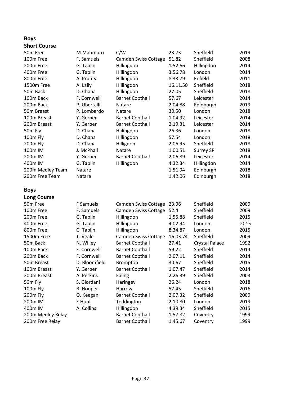#### **Boys Short Course**

| 50 <sub>m</sub> Free | M.Mahmuto    | C/W                    | 23.73    | Sheffield  | 2019 |
|----------------------|--------------|------------------------|----------|------------|------|
| 100m Free            | F. Samuels   | Camden Swiss Cottage   | 51.82    | Sheffield  | 2008 |
| 200m Free            | G. Taplin    | Hillingdon             | 1.52.66  | Hillingdon | 2014 |
| 400m Free            | G. Taplin    | Hillingdon             | 3.56.78  | London     | 2014 |
| 800m Free            | A. Prunty    | Hillingdon             | 8.33.79  | Enfield    | 2011 |
| 1500m Free           | A. Lally     | Hillingdon             | 16.11.50 | Sheffield  | 2018 |
| 50 <sub>m</sub> Back | D. Chana     | Hillingdon             | 27.05    | Sheffield  | 2018 |
| 100m Back            | F. Cornwell  | <b>Barnet Copthall</b> | 57.67    | Leicester  | 2014 |
| 200m Back            | P. Ubertalli | Natare                 | 2.04.88  | Edinburgh  | 2019 |
| 50m Breast           | P. Lombardo  | Natare                 | 30.50    | London     | 2018 |
| 100m Breast          | Y. Gerber    | <b>Barnet Copthall</b> | 1.04.92  | Leicester  | 2014 |
| 200m Breast          | Y. Gerber    | <b>Barnet Copthall</b> | 2.19.31  | Leicester  | 2014 |
| 50m Fly              | D. Chana     | Hiilingdon             | 26.36    | London     | 2018 |
| 100m Fly             | D. Chana     | Hillingdon             | 57.54    | London     | 2018 |
| 200m Fly             | D. Chana     | Hilligdon              | 2.06.95  | Sheffield  | 2018 |
| 100m IM              | J. McPhail   | Natare                 | 1.00.51  | Surrey SP  | 2018 |
| 200m IM              | Y. Gerber    | <b>Barnet Copthall</b> | 2.06.89  | Leicester  | 2014 |
| 400m IM              | G. Taplin    | Hillingdon             | 4.32.34  | Hillingdon | 2014 |
| 200m Medley Team     | Natare       |                        | 1.51.94  | Edinburgh  | 2018 |
| 200m Free Team       | Natare       |                        | 1.42.06  | Edinburgh  | 2018 |
|                      |              |                        |          |            |      |

#### **Boys**

**Long Course**

| 50m Free               | F Samuels     | Camden Swiss Cottage   | 23.96    | Sheffield      | 2009 |
|------------------------|---------------|------------------------|----------|----------------|------|
| 100m Free              | F. Samuels    | Camden Swiss Cottage   | 52.4     | Sheffield      | 2009 |
| 200m Free              | G. Taplin     | Hillingdon             | 1.55.88  | Sheffield      | 2015 |
| 400m Free              | G. Taplin     | Hillingdon             | 4.02.94  | London         | 2015 |
| 800m Free              | G Taplin.     | Hillingdon             | 8.34.87  | London         | 2015 |
| 1500m Free             | T. Veale      | Camden Swiss Cottage   | 16.03.74 | Sheffield      | 2009 |
| 50 <sub>m</sub> Back   | N. Willey     | <b>Barnet Copthall</b> | 27.41    | Crystal Palace | 1992 |
| 100m Back              | F. Cornwell   | <b>Barnet Copthall</b> | 59.22    | Sheffield      | 2014 |
| 200 <sub>m</sub> Back  | F. Cornwell   | <b>Barnet Copthall</b> | 2.07.11  | Sheffield      | 2014 |
| 50 <sub>m</sub> Breast | D. Bloomfield | Brompton               | 30.67    | Sheffield      | 2015 |
| 100m Breast            | Y. Gerber     | <b>Barnet Copthall</b> | 1.07.47  | Sheffield      | 2014 |
| 200m Breast            | A. Perkins    | Ealing                 | 2.26.39  | Sheffield      | 2003 |
| 50m Fly                | S. Giordani   | Haringey               | 26.24    | London         | 2018 |
| 100m Fly               | B. Hooper     | Harrow                 | 57.45    | Sheffield      | 2016 |
| 200m Fly               | O. Keegan     | <b>Barnet Copthall</b> | 2.07.32  | Sheffield      | 2009 |
| 200 <sub>m</sub> IM    | E Hunt        | Teddington             | 2.10.80  | London         | 2019 |
| 400m IM                | A. Collins    | Hillingdon             | 4.39.34  | Sheffield      | 2015 |
| 200m Medley Relay      |               | <b>Barnet Copthall</b> | 1.57.82  | Coventry       | 1999 |
| 200m Free Relay        |               | <b>Barnet Copthall</b> | 1.45.67  | Coventry       | 1999 |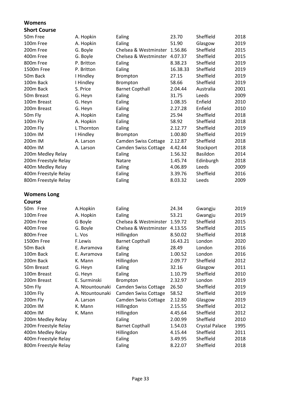#### **Womens**

### **Short Course**

| A. Hopkin  | Ealing                 | 23.70    | Sheffield                                                      | 2018 |
|------------|------------------------|----------|----------------------------------------------------------------|------|
| A. Hopkin  | Ealing                 | 51.90    | Glasgow                                                        | 2019 |
| G. Boyle   |                        |          | Sheffield                                                      | 2015 |
| G. Boyle   |                        |          | Sheffield                                                      | 2015 |
| P. Britton | Ealing                 | 8.38.23  | Sheffield                                                      | 2019 |
| P. Britton | Ealing                 | 16.38.33 | Sheffield                                                      | 2019 |
| I Hindley  | Brompton               | 27.15    | Sheffield                                                      | 2019 |
| I Hindley  | Brompton               | 58.66    | Sheffield                                                      | 2019 |
| S. Price   | <b>Barnet Copthall</b> | 2.04.44  | Australia                                                      | 2001 |
| G. Heyn    | Ealing                 | 31.75    | Leeds                                                          | 2009 |
| G. Heyn    | Ealing                 | 1.08.35  | Enfield                                                        | 2010 |
| G. Heyn    | Ealing                 | 2.27.28  | Enfield                                                        | 2010 |
| A. Hopkin  | Ealing                 | 25.94    | Sheffield                                                      | 2018 |
| A. Hopkin  | Ealing                 | 58.92    | Sheffield                                                      | 2018 |
| L Thornton | Ealing                 | 2.12.77  | Sheffield                                                      | 2019 |
| I Hindley  | Brompton               | 1.00.80  | Sheffield                                                      | 2019 |
| A. Larson  | Camden Swiss Cottage   | 2.12.87  | Sheffield                                                      | 2018 |
| A. Larson  | Camden Swiss Cottage   | 4.42.44  | Stockport                                                      | 2018 |
|            | Ealing                 | 1.56.32  | Basildon                                                       | 2014 |
|            | Natare                 | 1.45.74  | Edinburgh                                                      | 2018 |
|            | Ealing                 | 4.06.89  | Leeds                                                          | 2009 |
|            | Ealing                 | 3.39.76  | Sheffield                                                      | 2016 |
|            | Ealing                 | 8.03.32  | Leeds                                                          | 2009 |
|            |                        |          | Chelsea & Westminster 1.56.86<br>Chelsea & Westminster 4.07.37 |      |

### **Womens Long**

#### **Course**

| 50 <sub>m</sub> Free   | A.Hopkin        | Ealing                      | 24.34    | Gwangju        | 2019 |
|------------------------|-----------------|-----------------------------|----------|----------------|------|
| 100m Free              | A. Hopkin       | Ealing                      | 53.21    | Gwangju        | 2019 |
| 200 <sub>m</sub> Free  | G Boyle         | Chelsea & Westminster       | 1.59.72  | Sheffield      | 2015 |
| 400m Free              | G. Boyle        | Chelsea & Westminster       | 4.13.55  | Sheffield      | 2015 |
| 800m Free              | L. Vos          | Hillingdon                  | 8.50.02  | Sheffield      | 2018 |
| 1500m Free             | F.Lewis         | <b>Barnet Copthall</b>      | 16.43.21 | London         | 2020 |
| 50 <sub>m</sub> Back   | E. Avramova     | Ealing                      | 28.49    | London         | 2016 |
| 100m Back              | E. Avramova     | Ealing                      | 1.00.52  | London         | 2016 |
| 200m Back              | K. Mann         | Hillingdon                  | 2.09.77  | Sheffield      | 2012 |
| 50 <sub>m</sub> Breast | G. Heyn         | Ealing                      | 32.16    | Glasgow        | 2011 |
| 100m Breast            | G. Heyn         | Ealing                      | 1.10.79  | Sheffield      | 2010 |
| 200m Breast            | E. Surminski    | <b>Brompton</b>             | 2.32.97  | London         | 2019 |
| 50m Fly                | A. Ntountounaki | <b>Camden Swiss Cottage</b> | 26.50    | Sheffield      | 2019 |
| 100m Fly               | A. Ntountounaki | Camden Swiss Cottage        | 58.52    | Sheffield      | 2019 |
| 200 <sub>m</sub> Fly   | A. Larson       | Camden Swiss Cottage        | 2.12.80  | Glasgow        | 2019 |
| 200 <sub>m</sub> IM    | K. Mann         | Hillingdon                  | 2.15.55  | Sheffield      | 2012 |
| 400m IM                | K. Mann         | Hillingdon                  | 4.45.64  | Sheffield      | 2012 |
| 200m Medley Relay      |                 | Ealing                      | 2.00.99  | Sheffield      | 2010 |
| 200m Freestyle Relay   |                 | <b>Barnet Copthall</b>      | 1.54.03  | Crystal Palace | 1995 |
| 400m Medley Relay      |                 | Hillingdon                  | 4.15.44  | Sheffield      | 2011 |
| 400m Freestyle Relay   |                 | Ealing                      | 3.49.95  | Sheffield      | 2018 |
| 800m Freestyle Relay   |                 | Ealing                      | 8.22.07  | Sheffield      | 2018 |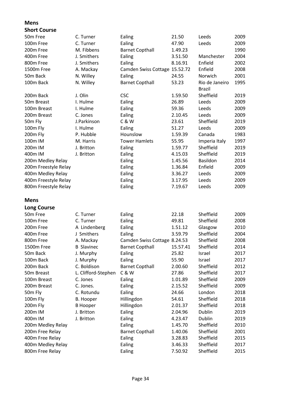### **Mens**

#### **Short Course**

| 50m Free               | C. Turner           | Ealing                        | 21.50    | Leeds           | 2009 |
|------------------------|---------------------|-------------------------------|----------|-----------------|------|
| 100m Free              | C. Turner           | Ealing                        | 47.90    | Leeds           | 2009 |
| 200m Free              | M. Fibbens          | <b>Barnet Copthall</b>        | 1.49.23  |                 | 1990 |
| 400m Free              | J. Smithers         | Ealing                        | 3.51.50  | Manchester      | 2004 |
| 800m Free              | J. Smithers         | Ealing                        | 8.16.91  | Enfield         | 2002 |
| 1500m Free             | A. Mackay           | Camden Swiss Cottage 15.52.72 |          | Enfield         | 2008 |
| 50 <sub>m</sub> Back   | N. Willey           | Ealing                        | 24.55    | Norwich         | 2001 |
| 100m Back              | N. Willey           | <b>Barnet Copthall</b>        | 53.23    | Rio de Janeiro  | 1995 |
|                        |                     |                               |          | <b>Brazil</b>   |      |
| 200m Back              | J. Olin             | <b>CSC</b>                    | 1.59.50  | Sheffield       | 2019 |
| 50 <sub>m</sub> Breast | I. Hulme            | Ealing                        | 26.89    | Leeds           | 2009 |
| 100m Breast            | I. Hulme            | Ealing                        | 59.36    | Leeds           | 2009 |
| 200m Breast            | C. Jones            | Ealing                        | 2.10.45  | Leeds           | 2009 |
| 50m Fly                | J.Parkinson         | C & W                         | 23.61    | Sheffield       | 2019 |
| 100m Fly               | I. Hulme            | Ealing                        | 51.27    | Leeds           | 2009 |
| 200m Fly               | P. Hubble           | Hounslow                      | 1.59.39  | Canada          | 1983 |
| 100m IM                | M. Harris           | <b>Tower Hamlets</b>          | 55.95    | Imperia Italy   | 1997 |
| 200m IM                | J. Britton          | Ealing                        | 1.59.77  | Sheffield       | 2019 |
| 400m IM                | J. Britton          | Ealing                        | 4.15.03  | Sheffield       | 2019 |
| 200m Medley Relay      |                     | Ealing                        | 1.45.56  | <b>Basildon</b> | 2014 |
| 200m Freestyle Relay   |                     | Ealing                        | 1.36.84  | Enfield         | 2009 |
| 400m Medley Relay      |                     | Ealing                        | 3.36.27  | Leeds           | 2009 |
| 400m Freestyle Relay   |                     | Ealing                        | 3.17.95  | Leeds           | 2009 |
| 800m Freestyle Relay   |                     | Ealing                        | 7.19.67  | Leeds           | 2009 |
|                        |                     |                               |          |                 |      |
| Mens                   |                     |                               |          |                 |      |
| <b>Long Course</b>     |                     |                               |          |                 |      |
| 50m Free               | C. Turner           | Ealing                        | 22.18    | Sheffield       | 2009 |
| 100m Free              | C. Turner           | Ealing                        | 49.81    | Sheffield       | 2008 |
| 200m Free              | A Lindenberg        | Ealing                        | 1.51.12  | Glasgow         | 2010 |
| 400m Free              | J Smithers          | Ealing                        | 3.59.79  | Sheffield       | 2004 |
| 800m Free              | A. Mackay           | Camden Swiss Cottage 8.24.53  |          | Sheffield       | 2008 |
| 1500m Free             | <b>B</b> Slavinec   | <b>Barnet Copthall</b>        | 15.57.41 | Sheffield       | 2014 |
| 50m Back               | J. Murphy           | Ealing                        | 25.82    | Israel          | 2017 |
| 100m Back              | J. Murphy           | Ealing                        | 55.90    | Israel          | 2017 |
| 200m Back              | C. Boldison         | <b>Barnet Copthall</b>        | 2.00.60  | Sheffield       | 2012 |
| 50m Breast             | L. Clifford-Stephen | C & W                         | 27.86    | Sheffield       | 2017 |
| 100m Breast            | C. Jones            | Ealing                        | 1.01.89  | Sheffield       | 2009 |
| 200m Breast            | C. Jones.           | Ealing                        | 2.15.52  | Sheffield       | 2009 |
| 50m Fly                | C. Rotundu          | Ealing                        | 24.66    | London          | 2018 |
| 100m Fly               | <b>B.</b> Hooper    | Hillingdon                    | 54.61    | Sheffield       | 2018 |
| 200m Fly               | <b>B</b> Hooper     | Hillingdon                    | 2.01.37  | Sheffield       | 2018 |
| 200m IM                | J. Britton          | Ealing                        | 2.04.96  | Dublin          | 2019 |
| 400m IM                | J. Britton          | Ealing                        | 4.23.47  | Dublin          | 2019 |
| 200m Medley Relay      |                     | Ealing                        | 1.45.70  | Sheffield       | 2010 |
| 200m Free Relay        |                     | <b>Barnet Copthall</b>        | 1.40.06  | Sheffield       | 2001 |
| 400m Free Relay        |                     | Ealing                        | 3.28.83  | Sheffield       | 2015 |
| 400m Medley Relay      |                     | Ealing                        | 3.46.33  | Sheffield       | 2017 |
| 800m Free Relay        |                     | Ealing                        | 7.50.92  | Sheffield       | 2015 |
|                        |                     |                               |          |                 |      |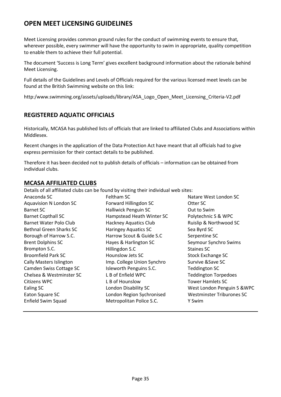# <span id="page-34-0"></span>**OPEN MEET LICENSING GUIDELINES**

Meet Licensing provides common ground rules for the conduct of swimming events to ensure that, wherever possible, every swimmer will have the opportunity to swim in appropriate, quality competition to enable them to achieve their full potential.

The document 'Success is Long Term' gives excellent background information about the rationale behind Meet Licensing.

Full details of the Guidelines and Levels of Officials required for the various licensed meet levels can be found at the British Swimming website on this link:

http:/www.swimming.org/assets/uploads/library/ASA\_Logo\_Open\_Meet\_Licensing\_Criteria-V2.pdf

### <span id="page-34-1"></span>**REGISTERED AQUATIC OFFICIALS**

Historically, MCASA has published lists of officials that are linked to affiliated Clubs and Associations within Middlesex.

Recent changes in the application of the Data Protection Act have meant that all officials had to give express permission for their contact details to be published.

Therefore it has been decided not to publish details of officials – information can be obtained from individual clubs.

#### <span id="page-34-2"></span>**MCASA AFFILIATED CLUBS**

Details of all affiliated clubs can be found by visiting their individual web sites:

| Anaconda SC               | Feltham SC                   | Natare West London SC            |
|---------------------------|------------------------------|----------------------------------|
| Aquavision N London SC    | Forward Hillingdon SC        | Otter SC                         |
| Barnet SC                 | Halliwick Penguin SC         | Out to Swim                      |
| <b>Barnet Copthall SC</b> | Hampstead Heath Winter SC    | Polytechnic S & WPC              |
| Barnet Water Polo Club    | <b>Hackney Aquatics Club</b> | Ruislip & Northwood SC           |
| Bethnal Green Sharks SC   | <b>Haringey Aquatics SC</b>  | Sea Byrd SC                      |
| Borough of Harrow S.C.    | Harrow Scout & Guide S.C     | Serpentine SC                    |
| <b>Brent Dolphins SC</b>  | Hayes & Harlington SC        | Seymour Synchro Swims            |
| Brompton S.C.             | Hillingdon S.C               | Staines SC                       |
| <b>Broomfield Park SC</b> | Hounslow Jets SC             | <b>Stock Exchange SC</b>         |
| Cally Masters Islington   | Imp. College Union Synchro   | Survive & Save SC                |
| Camden Swiss Cottage SC   | Isleworth Penguins S.C.      | <b>Teddington SC</b>             |
| Chelsea & Westminster SC  | L B of Enfield WPC           | <b>Teddington Torpedoes</b>      |
| Citizens WPC              | L B of Hounslow              | <b>Tower Hamlets SC</b>          |
| Ealing SC                 | London Disability SC         | West London Penguin S & WPC      |
| Eaton Square SC           | London Region Sychronised    | <b>Westminster Triburones SC</b> |
| Enfield Swim Squad        | Metropolitan Police S.C.     | Y Swim                           |
|                           |                              |                                  |